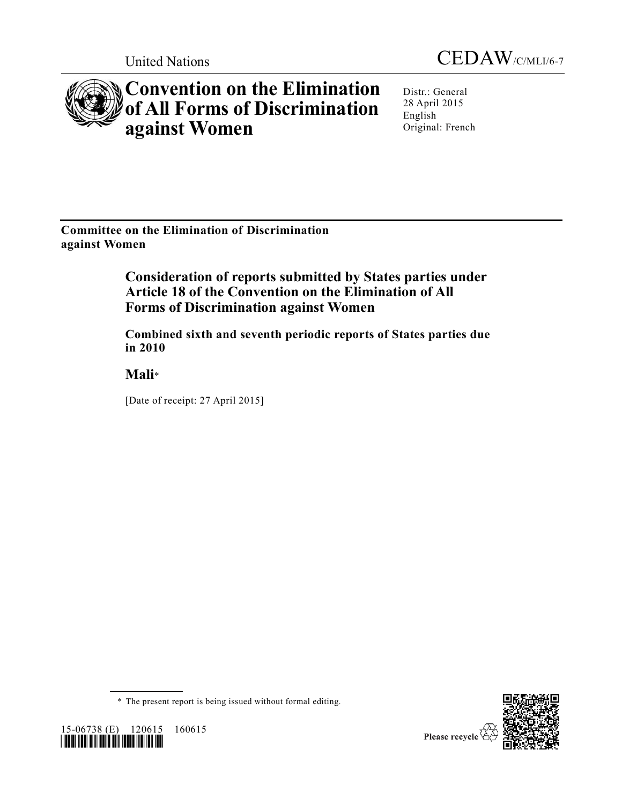



# **Convention on the Elimination of All Forms of Discrimination against Women**

Distr.: General 28 April 2015 English Original: French

**Committee on the Elimination of Discrimination against Women**

> **Consideration of reports submitted by States parties under Article 18 of the Convention on the Elimination of All Forms of Discrimination against Women**

> **Combined sixth and seventh periodic reports of States parties due in 2010**

**Mali**\*

[Date of receipt: 27 April 2015]

\* The present report is being issued without formal editing.



15-06738 (E) 120615 160615 *\*1506738\**

Please recycle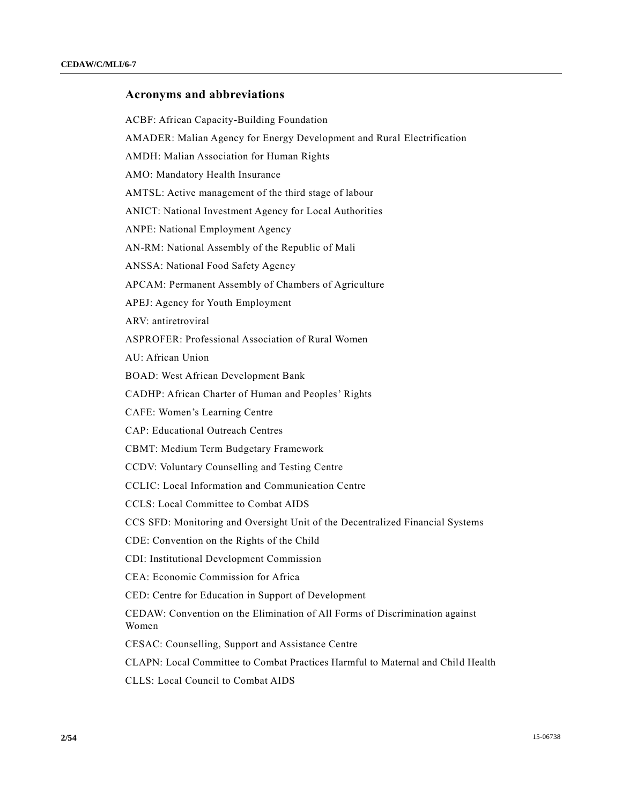# **Acronyms and abbreviations**

ACBF: African Capacity-Building Foundation

AMADER: Malian Agency for Energy Development and Rural Electrification

AMDH: Malian Association for Human Rights

AMO: Mandatory Health Insurance

AMTSL: Active management of the third stage of labour

ANICT: National Investment Agency for Local Authorities

ANPE: National Employment Agency

AN-RM: National Assembly of the Republic of Mali

ANSSA: National Food Safety Agency

APCAM: Permanent Assembly of Chambers of Agriculture

APEJ: Agency for Youth Employment

ARV: antiretroviral

ASPROFER: Professional Association of Rural Women

AU: African Union

BOAD: West African Development Bank

CADHP: African Charter of Human and Peoples' Rights

CAFE: Women's Learning Centre

CAP: Educational Outreach Centres

CBMT: Medium Term Budgetary Framework

CCDV: Voluntary Counselling and Testing Centre

CCLIC: Local Information and Communication Centre

CCLS: Local Committee to Combat AIDS

CCS SFD: Monitoring and Oversight Unit of the Decentralized Financial Systems

CDE: Convention on the Rights of the Child

CDI: Institutional Development Commission

CEA: Economic Commission for Africa

CED: Centre for Education in Support of Development

CEDAW: Convention on the Elimination of All Forms of Discrimination against Women

CESAC: Counselling, Support and Assistance Centre

CLAPN: Local Committee to Combat Practices Harmful to Maternal and Child Health

CLLS: Local Council to Combat AIDS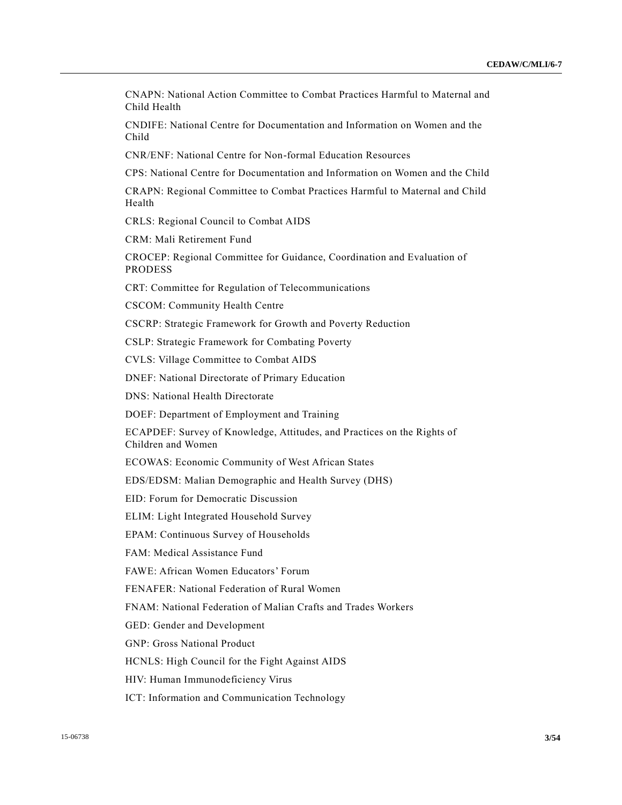CNAPN: National Action Committee to Combat Practices Harmful to Maternal and Child Health

CNDIFE: National Centre for Documentation and Information on Women and the Child

CNR/ENF: National Centre for Non-formal Education Resources

CPS: National Centre for Documentation and Information on Women and the Child

CRAPN: Regional Committee to Combat Practices Harmful to Maternal and Child Health

CRLS: Regional Council to Combat AIDS

CRM: Mali Retirement Fund

CROCEP: Regional Committee for Guidance, Coordination and Evaluation of PRODESS

CRT: Committee for Regulation of Telecommunications

CSCOM: Community Health Centre

CSCRP: Strategic Framework for Growth and Poverty Reduction

CSLP: Strategic Framework for Combating Poverty

CVLS: Village Committee to Combat AIDS

DNEF: National Directorate of Primary Education

DNS: National Health Directorate

DOEF: Department of Employment and Training

ECAPDEF: Survey of Knowledge, Attitudes, and Practices on the Rights of Children and Women

ECOWAS: Economic Community of West African States

EDS/EDSM: Malian Demographic and Health Survey (DHS)

EID: Forum for Democratic Discussion

ELIM: Light Integrated Household Survey

EPAM: Continuous Survey of Households

FAM: Medical Assistance Fund

FAWE: African Women Educators' Forum

FENAFER: National Federation of Rural Women

FNAM: National Federation of Malian Crafts and Trades Workers

GED: Gender and Development

GNP: Gross National Product

HCNLS: High Council for the Fight Against AIDS

HIV: Human Immunodeficiency Virus

ICT: Information and Communication Technology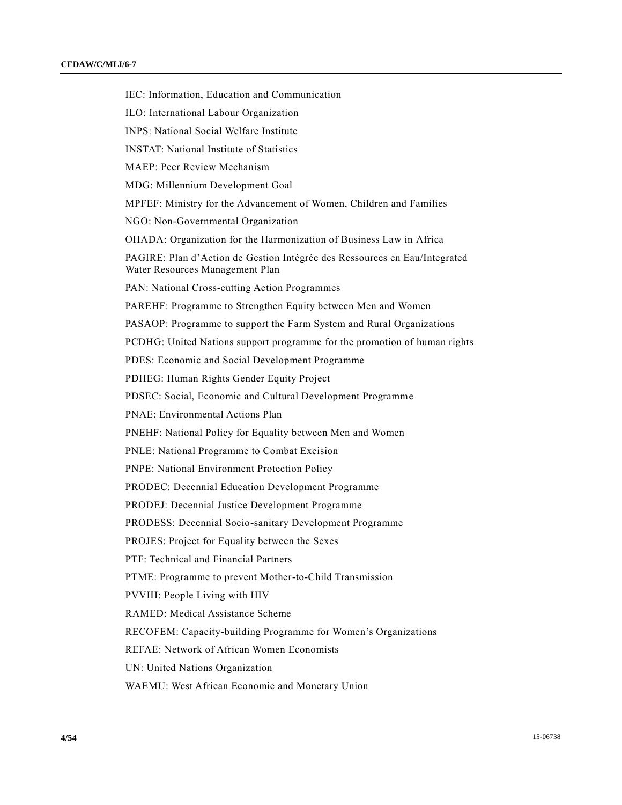IEC: Information, Education and Communication ILO: International Labour Organization INPS: National Social Welfare Institute INSTAT: National Institute of Statistics MAEP: Peer Review Mechanism MDG: Millennium Development Goal MPFEF: Ministry for the Advancement of Women, Children and Families NGO: Non-Governmental Organization OHADA: Organization for the Harmonization of Business Law in Africa PAGIRE: Plan d'Action de Gestion Intégrée des Ressources en Eau/Integrated Water Resources Management Plan PAN: National Cross-cutting Action Programmes PAREHF: Programme to Strengthen Equity between Men and Women PASAOP: Programme to support the Farm System and Rural Organizations PCDHG: United Nations support programme for the promotion of human rights PDES: Economic and Social Development Programme PDHEG: Human Rights Gender Equity Project PDSEC: Social, Economic and Cultural Development Programme PNAE: Environmental Actions Plan PNEHF: National Policy for Equality between Men and Women PNLE: National Programme to Combat Excision PNPE: National Environment Protection Policy PRODEC: Decennial Education Development Programme PRODEJ: Decennial Justice Development Programme PRODESS: Decennial Socio-sanitary Development Programme PROJES: Project for Equality between the Sexes PTF: Technical and Financial Partners PTME: Programme to prevent Mother-to-Child Transmission PVVIH: People Living with HIV RAMED: Medical Assistance Scheme RECOFEM: Capacity-building Programme for Women's Organizations REFAE: Network of African Women Economists UN: United Nations Organization WAEMU: West African Economic and Monetary Union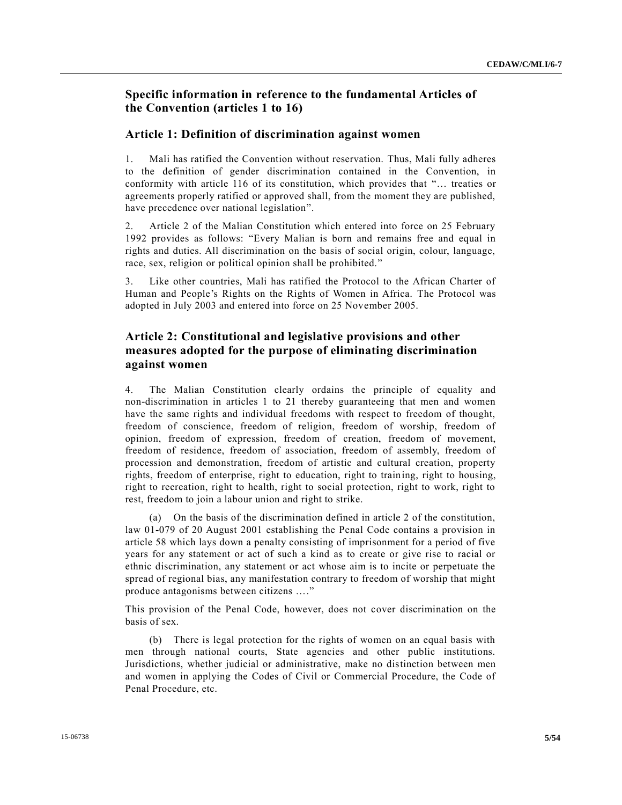# **Specific information in reference to the fundamental Articles of the Convention (articles 1 to 16)**

# **Article 1: Definition of discrimination against women**

1. Mali has ratified the Convention without reservation. Thus, Mali fully adheres to the definition of gender discrimination contained in the Convention, in conformity with article 116 of its constitution, which provides that "… treaties or agreements properly ratified or approved shall, from the moment they are published, have precedence over national legislation".

2. Article 2 of the Malian Constitution which entered into force on 25 February 1992 provides as follows: "Every Malian is born and remains free and equal in rights and duties. All discrimination on the basis of social origin, colour, language, race, sex, religion or political opinion shall be prohibited."

3. Like other countries, Mali has ratified the Protocol to the African Charter of Human and People's Rights on the Rights of Women in Africa. The Protocol was adopted in July 2003 and entered into force on 25 November 2005.

# **Article 2: Constitutional and legislative provisions and other measures adopted for the purpose of eliminating discrimination against women**

4. The Malian Constitution clearly ordains the principle of equality and non-discrimination in articles 1 to 21 thereby guaranteeing that men and women have the same rights and individual freedoms with respect to freedom of thought, freedom of conscience, freedom of religion, freedom of worship, freedom of opinion, freedom of expression, freedom of creation, freedom of movement, freedom of residence, freedom of association, freedom of assembly, freedom of procession and demonstration, freedom of artistic and cultural creation, property rights, freedom of enterprise, right to education, right to training, right to housing, right to recreation, right to health, right to social protection, right to work, right to rest, freedom to join a labour union and right to strike.

(a) On the basis of the discrimination defined in article 2 of the constitution, law 01-079 of 20 August 2001 establishing the Penal Code contains a provision in article 58 which lays down a penalty consisting of imprisonment for a period of five years for any statement or act of such a kind as to create or give rise to racial or ethnic discrimination, any statement or act whose aim is to incite or perpetuate the spread of regional bias, any manifestation contrary to freedom of worship that might produce antagonisms between citizens …."

This provision of the Penal Code, however, does not cover discrimination on the basis of sex.

(b) There is legal protection for the rights of women on an equal basis with men through national courts, State agencies and other public institutions. Jurisdictions, whether judicial or administrative, make no distinction between men and women in applying the Codes of Civil or Commercial Procedure, the Code of Penal Procedure, etc.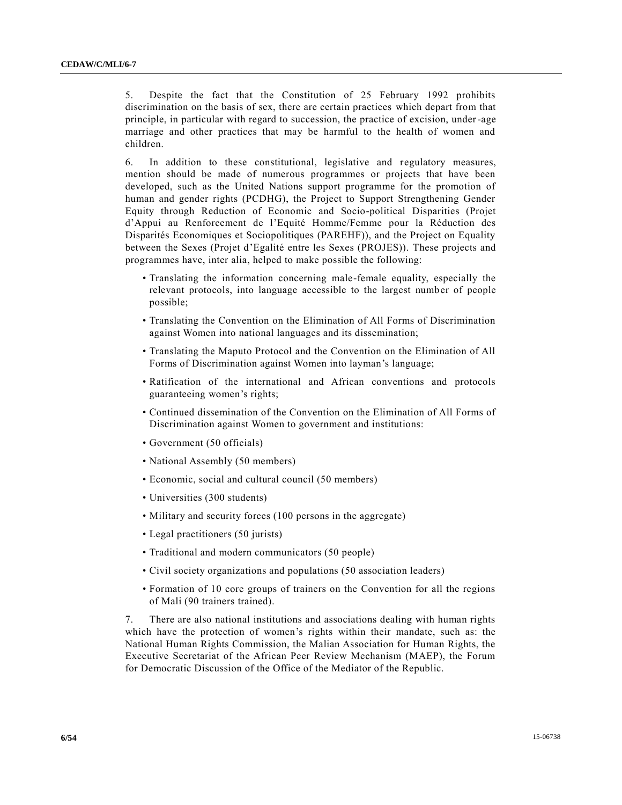5. Despite the fact that the Constitution of 25 February 1992 prohibits discrimination on the basis of sex, there are certain practices which depart from that principle, in particular with regard to succession, the practice of excision, under-age marriage and other practices that may be harmful to the health of women and children.

6. In addition to these constitutional, legislative and regulatory measures, mention should be made of numerous programmes or projects that have been developed, such as the United Nations support programme for the promotion of human and gender rights (PCDHG), the Project to Support Strengthening Gender Equity through Reduction of Economic and Socio-political Disparities (Projet d'Appui au Renforcement de l'Equité Homme/Femme pour la Réduction des Disparités Economiques et Sociopolitiques (PAREHF)), and the Project on Equality between the Sexes (Projet d'Egalité entre les Sexes (PROJES)). These projects and programmes have, inter alia, helped to make possible the following:

- Translating the information concerning male-female equality, especially the relevant protocols, into language accessible to the largest number of people possible;
- Translating the Convention on the Elimination of All Forms of Discrimination against Women into national languages and its dissemination;
- Translating the Maputo Protocol and the Convention on the Elimination of All Forms of Discrimination against Women into layman's language;
- Ratification of the international and African conventions and protocols guaranteeing women's rights;
- Continued dissemination of the Convention on the Elimination of All Forms of Discrimination against Women to government and institutions:
- Government (50 officials)
- National Assembly (50 members)
- Economic, social and cultural council (50 members)
- Universities (300 students)
- Military and security forces (100 persons in the aggregate)
- Legal practitioners (50 jurists)
- Traditional and modern communicators (50 people)
- Civil society organizations and populations (50 association leaders)
- Formation of 10 core groups of trainers on the Convention for all the regions of Mali (90 trainers trained).

7. There are also national institutions and associations dealing with human rights which have the protection of women's rights within their mandate, such as: the National Human Rights Commission, the Malian Association for Human Rights, the Executive Secretariat of the African Peer Review Mechanism (MAEP), the Forum for Democratic Discussion of the Office of the Mediator of the Republic.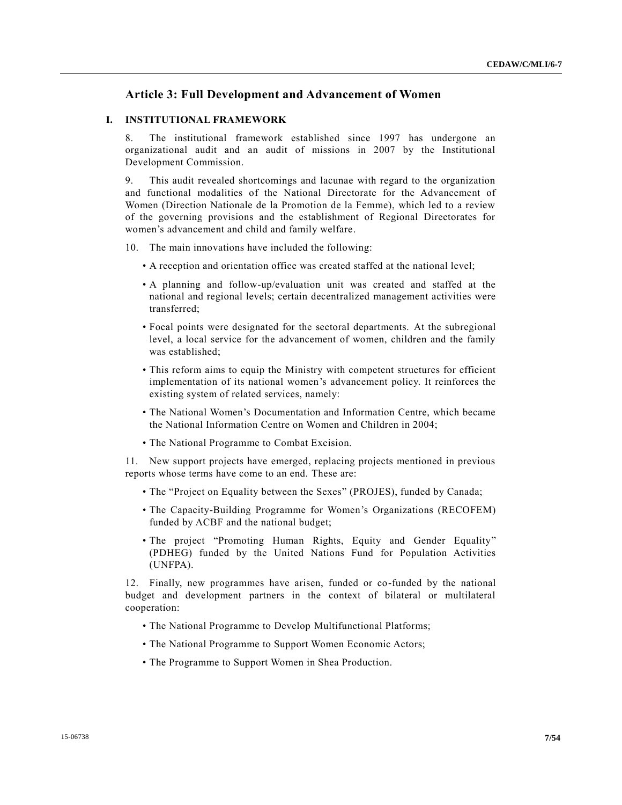# **Article 3: Full Development and Advancement of Women**

# **I. INSTITUTIONAL FRAMEWORK**

8. The institutional framework established since 1997 has undergone an organizational audit and an audit of missions in 2007 by the Institutional Development Commission.

9. This audit revealed shortcomings and lacunae with regard to the organization and functional modalities of the National Directorate for the Advancement of Women (Direction Nationale de la Promotion de la Femme), which led to a review of the governing provisions and the establishment of Regional Directorates for women's advancement and child and family welfare.

- 10. The main innovations have included the following:
	- A reception and orientation office was created staffed at the national level;
	- A planning and follow-up/evaluation unit was created and staffed at the national and regional levels; certain decentralized management activities were transferred;
	- Focal points were designated for the sectoral departments. At the subregional level, a local service for the advancement of women, children and the family was established;
	- This reform aims to equip the Ministry with competent structures for efficient implementation of its national women's advancement policy. It reinforces the existing system of related services, namely:
	- The National Women's Documentation and Information Centre, which became the National Information Centre on Women and Children in 2004;
	- The National Programme to Combat Excision.

11. New support projects have emerged, replacing projects mentioned in previous reports whose terms have come to an end. These are:

- The "Project on Equality between the Sexes" (PROJES), funded by Canada;
- The Capacity-Building Programme for Women's Organizations (RECOFEM) funded by ACBF and the national budget;
- The project "Promoting Human Rights, Equity and Gender Equality" (PDHEG) funded by the United Nations Fund for Population Activities (UNFPA).

12. Finally, new programmes have arisen, funded or co-funded by the national budget and development partners in the context of bilateral or multilateral cooperation:

- The National Programme to Develop Multifunctional Platforms;
- The National Programme to Support Women Economic Actors;
- The Programme to Support Women in Shea Production.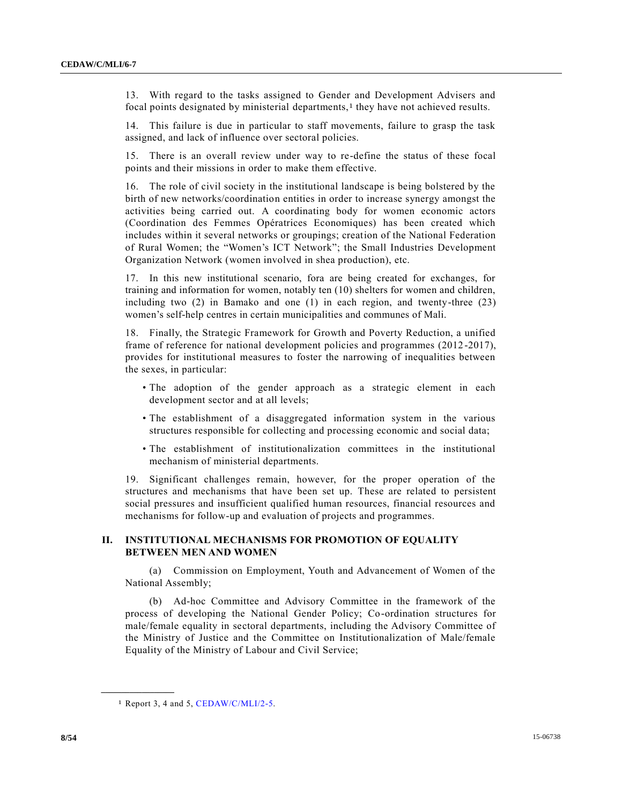13. With regard to the tasks assigned to Gender and Development Advisers and focal points designated by ministerial departments, 1 they have not achieved results.

14. This failure is due in particular to staff movements, failure to grasp the task assigned, and lack of influence over sectoral policies.

15. There is an overall review under way to re-define the status of these focal points and their missions in order to make them effective.

16. The role of civil society in the institutional landscape is being bolstered by the birth of new networks/coordination entities in order to increase synergy amongst the activities being carried out. A coordinating body for women economic actors (Coordination des Femmes Opératrices Economiques) has been created which includes within it several networks or groupings; creation of the National Federation of Rural Women; the "Women's ICT Network"; the Small Industries Development Organization Network (women involved in shea production), etc.

17. In this new institutional scenario, fora are being created for exchanges, for training and information for women, notably ten (10) shelters for women and children, including two (2) in Bamako and one (1) in each region, and twenty-three (23) women's self-help centres in certain municipalities and communes of Mali.

18. Finally, the Strategic Framework for Growth and Poverty Reduction, a unified frame of reference for national development policies and programmes (2012 -2017), provides for institutional measures to foster the narrowing of inequalities between the sexes, in particular:

- The adoption of the gender approach as a strategic element in each development sector and at all levels;
- The establishment of a disaggregated information system in the various structures responsible for collecting and processing economic and social data;
- The establishment of institutionalization committees in the institutional mechanism of ministerial departments.

19. Significant challenges remain, however, for the proper operation of the structures and mechanisms that have been set up. These are related to persistent social pressures and insufficient qualified human resources, financial resources and mechanisms for follow-up and evaluation of projects and programmes.

# **II. INSTITUTIONAL MECHANISMS FOR PROMOTION OF EQUALITY BETWEEN MEN AND WOMEN**

(a) Commission on Employment, Youth and Advancement of Women of the National Assembly;

(b) Ad-hoc Committee and Advisory Committee in the framework of the process of developing the National Gender Policy; Co-ordination structures for male/female equality in sectoral departments, including the Advisory Committee of the Ministry of Justice and the Committee on Institutionalization of Male/female Equality of the Ministry of Labour and Civil Service;

**\_\_\_\_\_\_\_\_\_\_\_\_\_\_\_\_\_\_**

<sup>1</sup> Report 3, 4 and 5, [CEDAW/C/MLI/2-5.](http://undocs.org/CEDAW/C/MLI/2-5)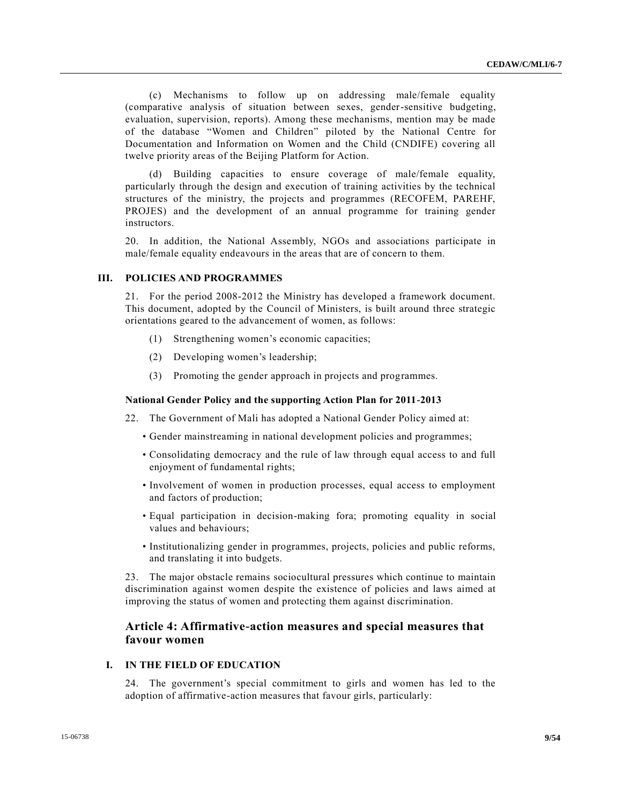(c) Mechanisms to follow up on addressing male/female equality (comparative analysis of situation between sexes, gender-sensitive budgeting, evaluation, supervision, reports). Among these mechanisms, mention may be made of the database "Women and Children" piloted by the National Centre for Documentation and Information on Women and the Child (CNDIFE) covering all twelve priority areas of the Beijing Platform for Action.

(d) Building capacities to ensure coverage of male/female equality, particularly through the design and execution of training activities by the technical structures of the ministry, the projects and programmes (RECOFEM, PAREHF, PROJES) and the development of an annual programme for training gender instructors.

20. In addition, the National Assembly, NGOs and associations participate in male/female equality endeavours in the areas that are of concern to them.

#### **III. POLICIES AND PROGRAMMES**

21. For the period 2008-2012 the Ministry has developed a framework document. This document, adopted by the Council of Ministers, is built around three strategic orientations geared to the advancement of women, as follows:

- (1) Strengthening women's economic capacities;
- (2) Developing women's leadership;
- (3) Promoting the gender approach in projects and programmes.

### **National Gender Policy and the supporting Action Plan for 2011-2013**

- 22. The Government of Mali has adopted a National Gender Policy aimed at:
	- Gender mainstreaming in national development policies and programmes;
	- Consolidating democracy and the rule of law through equal access to and full enjoyment of fundamental rights;
	- Involvement of women in production processes, equal access to employment and factors of production;
	- Equal participation in decision-making fora; promoting equality in social values and behaviours;
	- Institutionalizing gender in programmes, projects, policies and public reforms, and translating it into budgets.

23. The major obstacle remains sociocultural pressures which continue to maintain discrimination against women despite the existence of policies and laws aimed at improving the status of women and protecting them against discrimination.

# **Article 4: Affirmative-action measures and special measures that favour women**

### **I. IN THE FIELD OF EDUCATION**

24. The government's special commitment to girls and women has led to the adoption of affirmative-action measures that favour girls, particularly: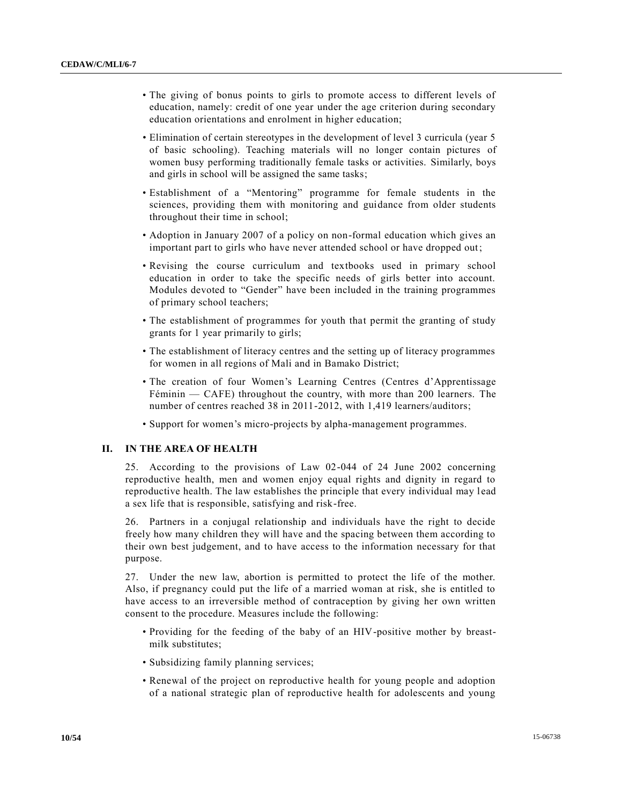- The giving of bonus points to girls to promote access to different levels of education, namely: credit of one year under the age criterion during secondary education orientations and enrolment in higher education;
- Elimination of certain stereotypes in the development of level 3 curricula (year 5 of basic schooling). Teaching materials will no longer contain pictures of women busy performing traditionally female tasks or activities. Similarly, boys and girls in school will be assigned the same tasks;
- Establishment of a "Mentoring" programme for female students in the sciences, providing them with monitoring and guidance from older students throughout their time in school;
- Adoption in January 2007 of a policy on non-formal education which gives an important part to girls who have never attended school or have dropped out;
- Revising the course curriculum and textbooks used in primary school education in order to take the specific needs of girls better into account. Modules devoted to "Gender" have been included in the training programmes of primary school teachers;
- The establishment of programmes for youth that permit the granting of study grants for 1 year primarily to girls;
- The establishment of literacy centres and the setting up of literacy programmes for women in all regions of Mali and in Bamako District;
- The creation of four Women's Learning Centres (Centres d'Apprentissage Féminin — CAFE) throughout the country, with more than 200 learners. The number of centres reached 38 in 2011-2012, with 1,419 learners/auditors;
- Support for women's micro-projects by alpha-management programmes.

# **II. IN THE AREA OF HEALTH**

25. According to the provisions of Law 02-044 of 24 June 2002 concerning reproductive health, men and women enjoy equal rights and dignity in regard to reproductive health. The law establishes the principle that every individual may lead a sex life that is responsible, satisfying and risk-free.

26. Partners in a conjugal relationship and individuals have the right to decide freely how many children they will have and the spacing between them according to their own best judgement, and to have access to the information necessary for that purpose.

27. Under the new law, abortion is permitted to protect the life of the mother. Also, if pregnancy could put the life of a married woman at risk, she is entitled to have access to an irreversible method of contraception by giving her own written consent to the procedure. Measures include the following:

- Providing for the feeding of the baby of an HIV-positive mother by breastmilk substitutes;
- Subsidizing family planning services;
- Renewal of the project on reproductive health for young people and adoption of a national strategic plan of reproductive health for adolescents and young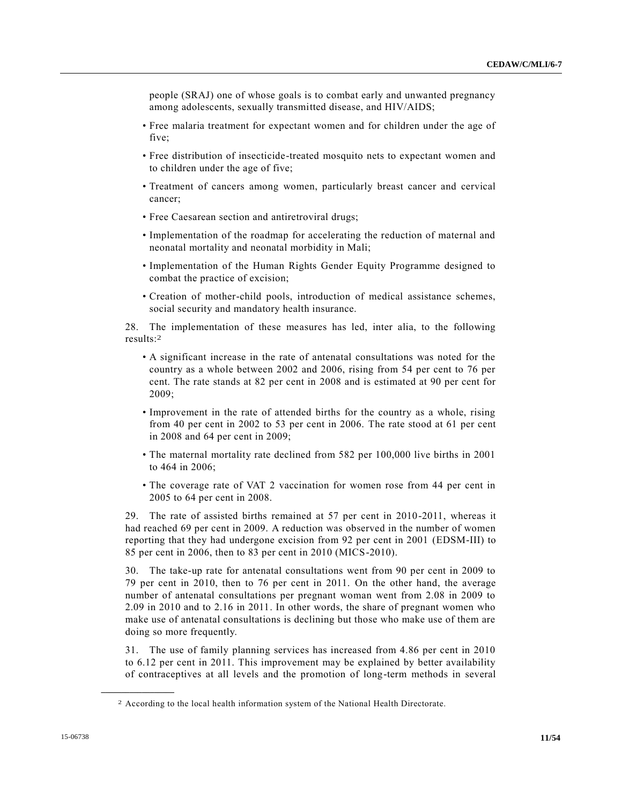people (SRAJ) one of whose goals is to combat early and unwanted pregnancy among adolescents, sexually transmitted disease, and HIV/AIDS;

- Free malaria treatment for expectant women and for children under the age of five;
- Free distribution of insecticide-treated mosquito nets to expectant women and to children under the age of five;
- Treatment of cancers among women, particularly breast cancer and cervical cancer;
- Free Caesarean section and antiretroviral drugs;
- Implementation of the roadmap for accelerating the reduction of maternal and neonatal mortality and neonatal morbidity in Mali;
- Implementation of the Human Rights Gender Equity Programme designed to combat the practice of excision;
- Creation of mother-child pools, introduction of medical assistance schemes, social security and mandatory health insurance.

28. The implementation of these measures has led, inter alia, to the following results: 2

- A significant increase in the rate of antenatal consultations was noted for the country as a whole between 2002 and 2006, rising from 54 per cent to 76 per cent. The rate stands at 82 per cent in 2008 and is estimated at 90 per cent for 2009;
- Improvement in the rate of attended births for the country as a whole, rising from 40 per cent in 2002 to 53 per cent in 2006. The rate stood at 61 per cent in 2008 and 64 per cent in 2009;
- The maternal mortality rate declined from 582 per 100,000 live births in 2001 to 464 in 2006;
- The coverage rate of VAT 2 vaccination for women rose from 44 per cent in 2005 to 64 per cent in 2008.

29. The rate of assisted births remained at 57 per cent in 2010-2011, whereas it had reached 69 per cent in 2009. A reduction was observed in the number of women reporting that they had undergone excision from 92 per cent in 2001 (EDSM-III) to 85 per cent in 2006, then to 83 per cent in 2010 (MICS-2010).

30. The take-up rate for antenatal consultations went from 90 per cent in 2009 to 79 per cent in 2010, then to 76 per cent in 2011. On the other hand, the average number of antenatal consultations per pregnant woman went from 2.08 in 2009 to 2.09 in 2010 and to 2.16 in 2011. In other words, the share of pregnant women who make use of antenatal consultations is declining but those who make use of them are doing so more frequently.

31. The use of family planning services has increased from 4.86 per cent in 2010 to 6.12 per cent in 2011. This improvement may be explained by better availability of contraceptives at all levels and the promotion of long-term methods in several

**\_\_\_\_\_\_\_\_\_\_\_\_\_\_\_\_\_\_**

<sup>2</sup> According to the local health information system of the National Health Directorate.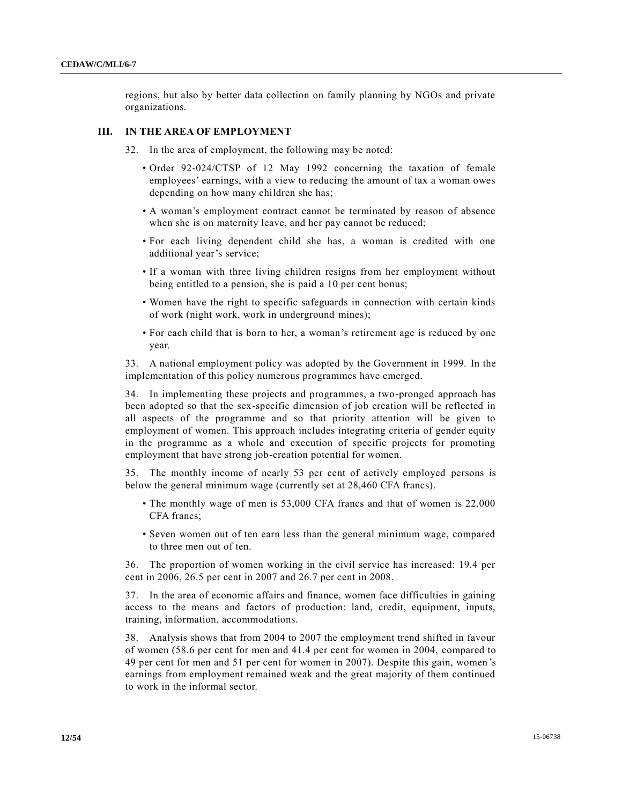regions, but also by better data collection on family planning by NGOs and private organizations.

### **III. IN THE AREA OF EMPLOYMENT**

32. In the area of employment, the following may be noted:

- Order 92-024/CTSP of 12 May 1992 concerning the taxation of female employees' earnings, with a view to reducing the amount of tax a woman owes depending on how many children she has;
- A woman's employment contract cannot be terminated by reason of absence when she is on maternity leave, and her pay cannot be reduced;
- For each living dependent child she has, a woman is credited with one additional year's service;
- If a woman with three living children resigns from her employment without being entitled to a pension, she is paid a 10 per cent bonus;
- Women have the right to specific safeguards in connection with certain kinds of work (night work, work in underground mines);
- For each child that is born to her, a woman's retirement age is reduced by one year.

33. A national employment policy was adopted by the Government in 1999. In the implementation of this policy numerous programmes have emerged.

34. In implementing these projects and programmes, a two-pronged approach has been adopted so that the sex-specific dimension of job creation will be reflected in all aspects of the programme and so that priority attention will be given to employment of women. This approach includes integrating criteria of gender equity in the programme as a whole and execution of specific projects for promoting employment that have strong job-creation potential for women.

35. The monthly income of nearly 53 per cent of actively employed persons is below the general minimum wage (currently set at 28,460 CFA francs).

- The monthly wage of men is 53,000 CFA francs and that of women is 22,000 CFA francs;
- Seven women out of ten earn less than the general minimum wage, compared to three men out of ten.

36. The proportion of women working in the civil service has increased: 19.4 per cent in 2006, 26.5 per cent in 2007 and 26.7 per cent in 2008.

37. In the area of economic affairs and finance, women face difficulties in gaining access to the means and factors of production: land, credit, equipment, inputs, training, information, accommodations.

38. Analysis shows that from 2004 to 2007 the employment trend shifted in favour of women (58.6 per cent for men and 41.4 per cent for women in 2004, compared to 49 per cent for men and 51 per cent for women in 2007). Despite this gain, women 's earnings from employment remained weak and the great majority of them continued to work in the informal sector.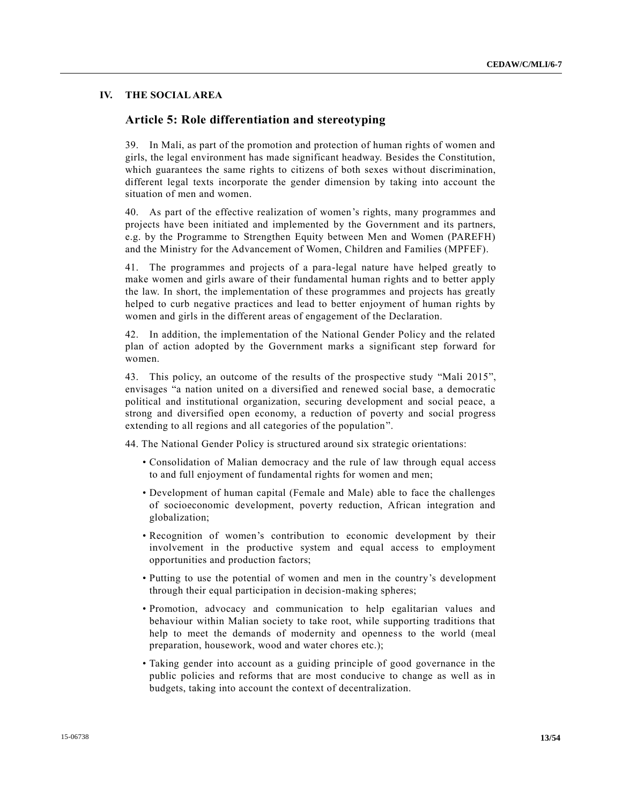# **IV. THE SOCIAL AREA**

# **Article 5: Role differentiation and stereotyping**

39. In Mali, as part of the promotion and protection of human rights of women and girls, the legal environment has made significant headway. Besides the Constitution, which guarantees the same rights to citizens of both sexes without discrimination, different legal texts incorporate the gender dimension by taking into account the situation of men and women.

40. As part of the effective realization of women's rights, many programmes and projects have been initiated and implemented by the Government and its partners, e.g. by the Programme to Strengthen Equity between Men and Women (PAREFH) and the Ministry for the Advancement of Women, Children and Families (MPFEF).

41. The programmes and projects of a para-legal nature have helped greatly to make women and girls aware of their fundamental human rights and to better apply the law. In short, the implementation of these programmes and projects has greatly helped to curb negative practices and lead to better enjoyment of human rights by women and girls in the different areas of engagement of the Declaration.

42. In addition, the implementation of the National Gender Policy and the related plan of action adopted by the Government marks a significant step forward for women.

43. This policy, an outcome of the results of the prospective study "Mali 2015", envisages "a nation united on a diversified and renewed social base, a democratic political and institutional organization, securing development and social peace, a strong and diversified open economy, a reduction of poverty and social progress extending to all regions and all categories of the population".

44. The National Gender Policy is structured around six strategic orientations:

- Consolidation of Malian democracy and the rule of law through equal access to and full enjoyment of fundamental rights for women and men;
- Development of human capital (Female and Male) able to face the challenges of socioeconomic development, poverty reduction, African integration and globalization;
- Recognition of women's contribution to economic development by their involvement in the productive system and equal access to employment opportunities and production factors;
- Putting to use the potential of women and men in the country's development through their equal participation in decision-making spheres;
- Promotion, advocacy and communication to help egalitarian values and behaviour within Malian society to take root, while supporting traditions that help to meet the demands of modernity and openness to the world (meal preparation, housework, wood and water chores etc.);
- Taking gender into account as a guiding principle of good governance in the public policies and reforms that are most conducive to change as well as in budgets, taking into account the context of decentralization.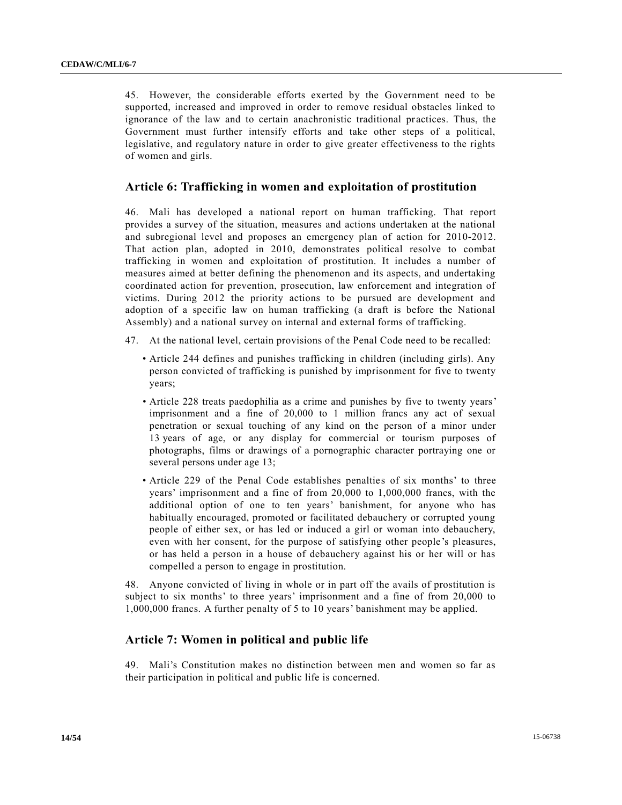45. However, the considerable efforts exerted by the Government need to be supported, increased and improved in order to remove residual obstacles linked to ignorance of the law and to certain anachronistic traditional practices. Thus, the Government must further intensify efforts and take other steps of a political, legislative, and regulatory nature in order to give greater effectiveness to the rights of women and girls.

# **Article 6: Trafficking in women and exploitation of prostitution**

46. Mali has developed a national report on human trafficking. That report provides a survey of the situation, measures and actions undertaken at the national and subregional level and proposes an emergency plan of action for 2010-2012. That action plan, adopted in 2010, demonstrates political resolve to combat trafficking in women and exploitation of prostitution. It includes a number of measures aimed at better defining the phenomenon and its aspects, and undertaking coordinated action for prevention, prosecution, law enforcement and integration of victims. During 2012 the priority actions to be pursued are development and adoption of a specific law on human trafficking (a draft is before the National Assembly) and a national survey on internal and external forms of trafficking.

- 47. At the national level, certain provisions of the Penal Code need to be recalled:
	- Article 244 defines and punishes trafficking in children (including girls). Any person convicted of trafficking is punished by imprisonment for five to twenty years;
	- Article 228 treats paedophilia as a crime and punishes by five to twenty years' imprisonment and a fine of 20,000 to 1 million francs any act of sexual penetration or sexual touching of any kind on the person of a minor under 13 years of age, or any display for commercial or tourism purposes of photographs, films or drawings of a pornographic character portraying one or several persons under age 13;
	- Article 229 of the Penal Code establishes penalties of six months' to three years' imprisonment and a fine of from 20,000 to 1,000,000 francs, with the additional option of one to ten years' banishment, for anyone who has habitually encouraged, promoted or facilitated debauchery or corrupted young people of either sex, or has led or induced a girl or woman into debauchery, even with her consent, for the purpose of satisfying other people's pleasures, or has held a person in a house of debauchery against his or her will or has compelled a person to engage in prostitution.

48. Anyone convicted of living in whole or in part off the avails of prostitution is subject to six months' to three years' imprisonment and a fine of from 20,000 to 1,000,000 francs. A further penalty of 5 to 10 years' banishment may be applied.

# **Article 7: Women in political and public life**

49. Mali's Constitution makes no distinction between men and women so far as their participation in political and public life is concerned.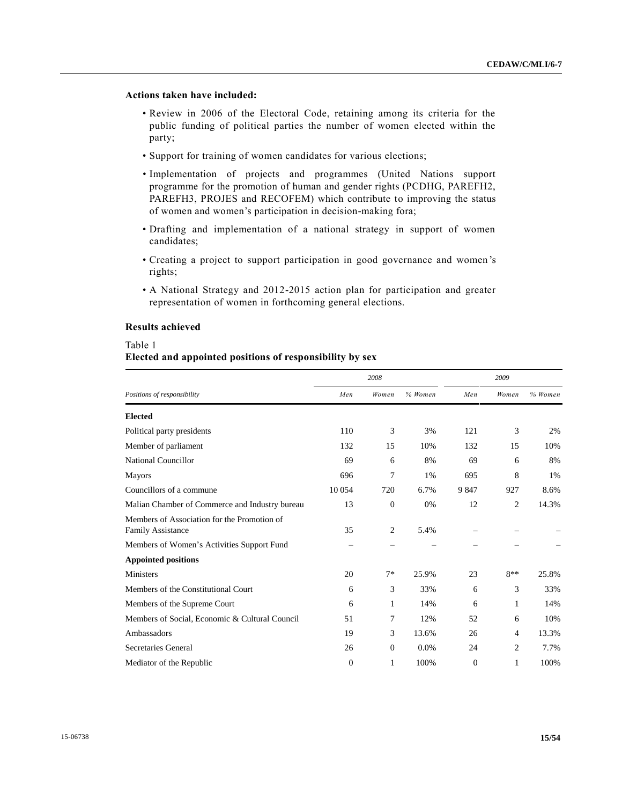# **Actions taken have included:**

- Review in 2006 of the Electoral Code, retaining among its criteria for the public funding of political parties the number of women elected within the party;
- Support for training of women candidates for various elections;
- Implementation of projects and programmes (United Nations support programme for the promotion of human and gender rights (PCDHG, PAREFH2, PAREFH3, PROJES and RECOFEM) which contribute to improving the status of women and women's participation in decision-making fora;
- Drafting and implementation of a national strategy in support of women candidates;
- Creating a project to support participation in good governance and women 's rights;
- A National Strategy and 2012-2015 action plan for participation and greater representation of women in forthcoming general elections.

### **Results achieved**

### Table 1

# **Elected and appointed positions of responsibility by sex**

|                                                                  |                | 2008         |         | 2009         |                |           |
|------------------------------------------------------------------|----------------|--------------|---------|--------------|----------------|-----------|
| Positions of responsibility                                      | Men            | Women        | % Women | Men          | Women          | $%$ Women |
| <b>Elected</b>                                                   |                |              |         |              |                |           |
| Political party presidents                                       | 110            | 3            | 3%      | 121          | 3              | 2%        |
| Member of parliament                                             | 132            | 15           | 10%     | 132          | 15             | 10%       |
| National Councillor                                              | 69             | 6            | 8%      | 69           | 6              | 8%        |
| <b>Mayors</b>                                                    | 696            | 7            | 1%      | 695          | 8              | 1%        |
| Councillors of a commune                                         | 10 0 54        | 720          | 6.7%    | 9 8 4 7      | 927            | 8.6%      |
| Malian Chamber of Commerce and Industry bureau                   | 13             | $\mathbf{0}$ | 0%      | 12           | $\overline{c}$ | 14.3%     |
| Members of Association for the Promotion of<br>Family Assistance | 35             | 2            | 5.4%    |              |                |           |
| Members of Women's Activities Support Fund                       |                |              |         |              |                |           |
| <b>Appointed positions</b>                                       |                |              |         |              |                |           |
| <b>Ministers</b>                                                 | 20             | $7*$         | 25.9%   | 23           | $8**$          | 25.8%     |
| Members of the Constitutional Court                              | 6              | 3            | 33%     | 6            | 3              | 33%       |
| Members of the Supreme Court                                     | 6              | 1            | 14%     | 6            | 1              | 14%       |
| Members of Social, Economic & Cultural Council                   | 51             | 7            | 12%     | 52           | 6              | 10%       |
| Ambassadors                                                      | 19             | 3            | 13.6%   | 26           | 4              | 13.3%     |
| Secretaries General                                              | 26             | $\mathbf{0}$ | 0.0%    | 24           | 2              | 7.7%      |
| Mediator of the Republic                                         | $\overline{0}$ | 1            | 100%    | $\mathbf{0}$ | 1              | 100%      |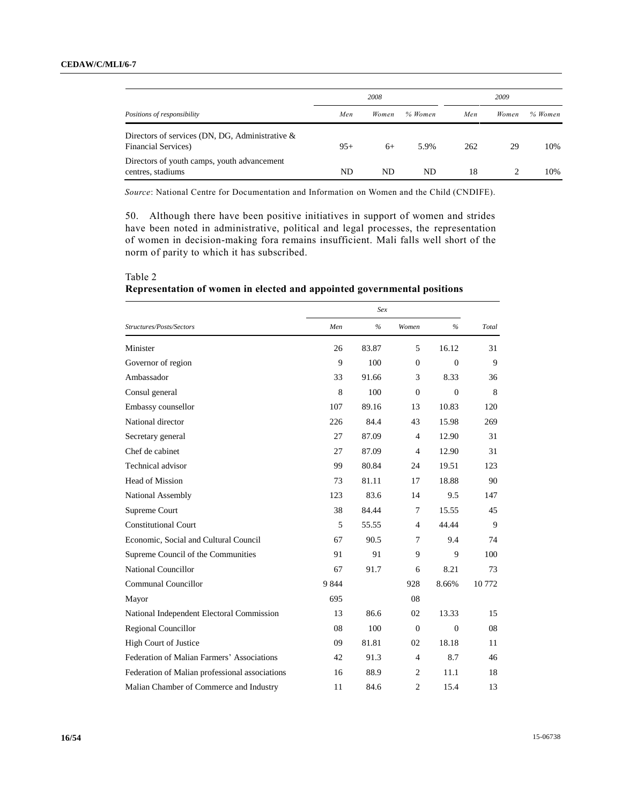|                                                                                   |       | 2008  |         |     | 2009  |         |
|-----------------------------------------------------------------------------------|-------|-------|---------|-----|-------|---------|
| Positions of responsibility                                                       | Men   | Women | % Women | Men | Women | % Women |
| Directors of services (DN, DG, Administrative $\&$<br><b>Financial Services</b> ) | $95+$ | $6+$  | 5.9%    | 262 | 29    | 10%     |
| Directors of youth camps, youth advancement<br>centres, stadiums                  | ND.   | ND    | ND      | 18  |       | 10%     |

*Source*: National Centre for Documentation and Information on Women and the Child (CNDIFE).

50. Although there have been positive initiatives in support of women and strides have been noted in administrative, political and legal processes, the representation of women in decision-making fora remains insufficient. Mali falls well short of the norm of parity to which it has subscribed.

|                                                | Sex     |       |                  |              |       |  |
|------------------------------------------------|---------|-------|------------------|--------------|-------|--|
| Structures/Posts/Sectors                       | Men     | $\%$  | Women            | $\%$         | Total |  |
| Minister                                       | 26      | 83.87 | 5                | 16.12        | 31    |  |
| Governor of region                             | 9       | 100   | $\boldsymbol{0}$ | $\mathbf{0}$ | 9     |  |
| Ambassador                                     | 33      | 91.66 | 3                | 8.33         | 36    |  |
| Consul general                                 | 8       | 100   | $\overline{0}$   | $\mathbf{0}$ | 8     |  |
| Embassy counsellor                             | 107     | 89.16 | 13               | 10.83        | 120   |  |
| National director                              | 226     | 84.4  | 43               | 15.98        | 269   |  |
| Secretary general                              | 27      | 87.09 | 4                | 12.90        | 31    |  |
| Chef de cabinet                                | 27      | 87.09 | $\overline{4}$   | 12.90        | 31    |  |
| Technical advisor                              | 99      | 80.84 | 24               | 19.51        | 123   |  |
| <b>Head of Mission</b>                         | 73      | 81.11 | 17               | 18.88        | 90    |  |
| National Assembly                              | 123     | 83.6  | 14               | 9.5          | 147   |  |
| Supreme Court                                  | 38      | 84.44 | 7                | 15.55        | 45    |  |
| <b>Constitutional Court</b>                    | 5       | 55.55 | $\overline{4}$   | 44.44        | 9     |  |
| Economic, Social and Cultural Council          | 67      | 90.5  | 7                | 9.4          | 74    |  |
| Supreme Council of the Communities             | 91      | 91    | 9                | 9            | 100   |  |
| <b>National Councillor</b>                     | 67      | 91.7  | 6                | 8.21         | 73    |  |
| Communal Councillor                            | 9 8 4 4 |       | 928              | 8.66%        | 10772 |  |
| Mayor                                          | 695     |       | 08               |              |       |  |
| National Independent Electoral Commission      | 13      | 86.6  | 02               | 13.33        | 15    |  |
| <b>Regional Councillor</b>                     | 08      | 100   | $\boldsymbol{0}$ | $\mathbf{0}$ | 08    |  |
| High Court of Justice                          | 09      | 81.81 | 02               | 18.18        | 11    |  |
| Federation of Malian Farmers' Associations     | 42      | 91.3  | $\overline{4}$   | 8.7          | 46    |  |
| Federation of Malian professional associations | 16      | 88.9  | $\overline{c}$   | 11.1         | 18    |  |
| Malian Chamber of Commerce and Industry        | 11      | 84.6  | $\overline{c}$   | 15.4         | 13    |  |

Table 2

**Representation of women in elected and appointed governmental positions**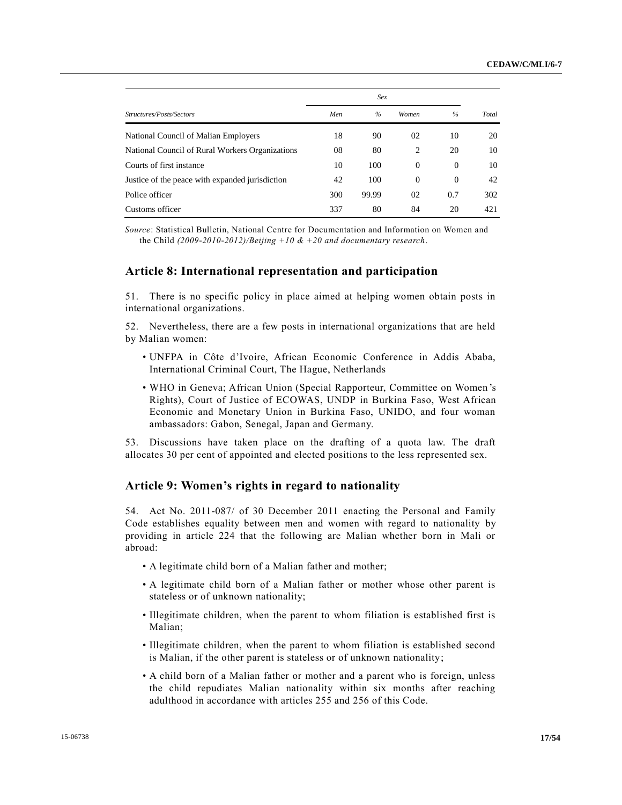|                                                 | Sex |               |              |          |       |  |
|-------------------------------------------------|-----|---------------|--------------|----------|-------|--|
| Structures/Posts/Sectors                        | Men | $\frac{0}{6}$ | Women        | $\%$     | Total |  |
| National Council of Malian Employers            | 18  | 90            | 02           | 10       | 20    |  |
| National Council of Rural Workers Organizations | 08  | 80            | 2            | 20       | 10    |  |
| Courts of first instance                        | 10  | 100           | $\mathbf{0}$ | $\Omega$ | 10    |  |
| Justice of the peace with expanded jurisdiction | 42  | 100           | $\mathbf{0}$ | $\Omega$ | 42    |  |
| Police officer                                  | 300 | 99.99         | 02           | 0.7      | 302   |  |
| Customs officer                                 | 337 | 80            | 84           | 20       | 421   |  |

*Source*: Statistical Bulletin, National Centre for Documentation and Information on Women and the Child *(2009-2010-2012)/Beijing +10 & +20 and documentary research*.

# **Article 8: International representation and participation**

51. There is no specific policy in place aimed at helping women obtain posts in international organizations.

52. Nevertheless, there are a few posts in international organizations that are held by Malian women:

- UNFPA in Côte d'Ivoire, African Economic Conference in Addis Ababa, International Criminal Court, The Hague, Netherlands
- WHO in Geneva; African Union (Special Rapporteur, Committee on Women's Rights), Court of Justice of ECOWAS, UNDP in Burkina Faso, West African Economic and Monetary Union in Burkina Faso, UNIDO, and four woman ambassadors: Gabon, Senegal, Japan and Germany.

53. Discussions have taken place on the drafting of a quota law. The draft allocates 30 per cent of appointed and elected positions to the less represented sex.

# **Article 9: Women's rights in regard to nationality**

54. Act No. 2011-087/ of 30 December 2011 enacting the Personal and Family Code establishes equality between men and women with regard to nationality by providing in article 224 that the following are Malian whether born in Mali or abroad:

- A legitimate child born of a Malian father and mother;
- A legitimate child born of a Malian father or mother whose other parent is stateless or of unknown nationality;
- Illegitimate children, when the parent to whom filiation is established first is Malian;
- Illegitimate children, when the parent to whom filiation is established second is Malian, if the other parent is stateless or of unknown nationality;
- A child born of a Malian father or mother and a parent who is foreign, unless the child repudiates Malian nationality within six months after reaching adulthood in accordance with articles 255 and 256 of this Code.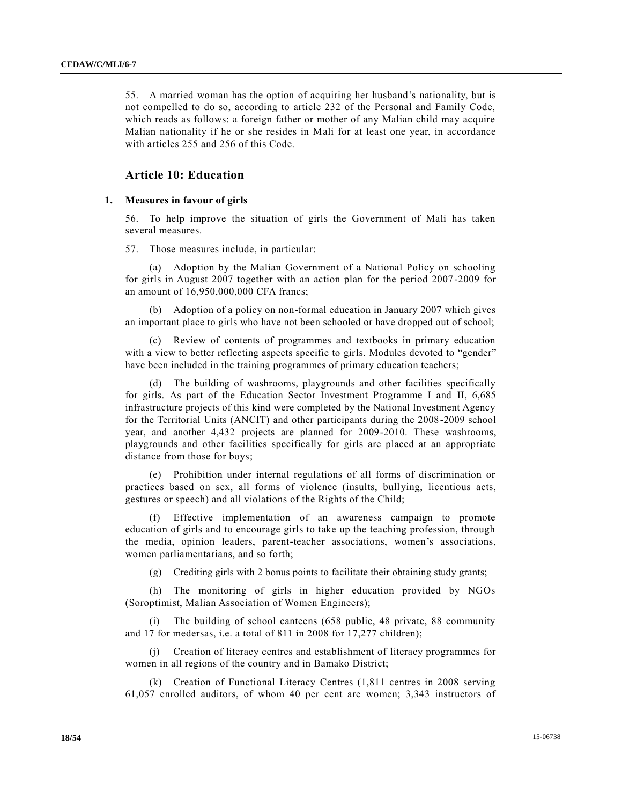55. A married woman has the option of acquiring her husband's nationality, but is not compelled to do so, according to article 232 of the Personal and Family Code, which reads as follows: a foreign father or mother of any Malian child may acquire Malian nationality if he or she resides in Mali for at least one year, in accordance with articles 255 and 256 of this Code.

# **Article 10: Education**

#### **1. Measures in favour of girls**

56. To help improve the situation of girls the Government of Mali has taken several measures.

57. Those measures include, in particular:

(a) Adoption by the Malian Government of a National Policy on schooling for girls in August 2007 together with an action plan for the period 2007 -2009 for an amount of 16,950,000,000 CFA francs;

(b) Adoption of a policy on non-formal education in January 2007 which gives an important place to girls who have not been schooled or have dropped out of school;

(c) Review of contents of programmes and textbooks in primary education with a view to better reflecting aspects specific to girls. Modules devoted to "gender" have been included in the training programmes of primary education teachers;

(d) The building of washrooms, playgrounds and other facilities specifically for girls. As part of the Education Sector Investment Programme I and II, 6,685 infrastructure projects of this kind were completed by the National Investment Agency for the Territorial Units (ANCIT) and other participants during the 2008-2009 school year, and another 4,432 projects are planned for 2009-2010. These washrooms, playgrounds and other facilities specifically for girls are placed at an appropriate distance from those for boys;

(e) Prohibition under internal regulations of all forms of discrimination or practices based on sex, all forms of violence (insults, bullying, licentious acts, gestures or speech) and all violations of the Rights of the Child;

(f) Effective implementation of an awareness campaign to promote education of girls and to encourage girls to take up the teaching profession, through the media, opinion leaders, parent-teacher associations, women's associations, women parliamentarians, and so forth;

(g) Crediting girls with 2 bonus points to facilitate their obtaining study grants;

(h) The monitoring of girls in higher education provided by NGOs (Soroptimist, Malian Association of Women Engineers);

(i) The building of school canteens (658 public, 48 private, 88 community and 17 for medersas, i.e. a total of 811 in 2008 for 17,277 children);

(j) Creation of literacy centres and establishment of literacy programmes for women in all regions of the country and in Bamako District;

(k) Creation of Functional Literacy Centres (1,811 centres in 2008 serving 61,057 enrolled auditors, of whom 40 per cent are women; 3,343 instructors of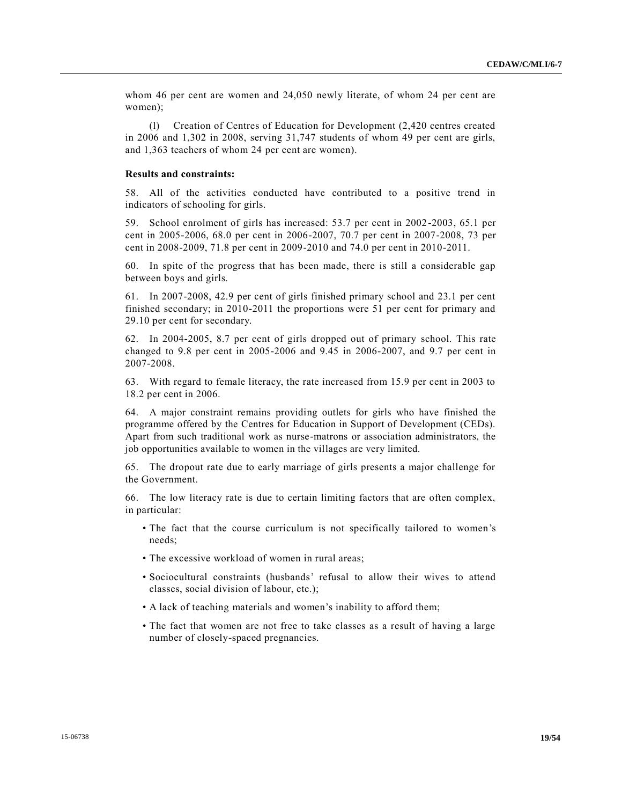whom 46 per cent are women and 24,050 newly literate, of whom 24 per cent are women);

(l) Creation of Centres of Education for Development (2,420 centres created in 2006 and 1,302 in 2008, serving 31,747 students of whom 49 per cent are girls, and 1,363 teachers of whom 24 per cent are women).

#### **Results and constraints:**

58. All of the activities conducted have contributed to a positive trend in indicators of schooling for girls.

59. School enrolment of girls has increased: 53.7 per cent in 2002-2003, 65.1 per cent in 2005-2006, 68.0 per cent in 2006-2007, 70.7 per cent in 2007-2008, 73 per cent in 2008-2009, 71.8 per cent in 2009-2010 and 74.0 per cent in 2010-2011.

60. In spite of the progress that has been made, there is still a considerable gap between boys and girls.

61. In 2007-2008, 42.9 per cent of girls finished primary school and 23.1 per cent finished secondary; in 2010-2011 the proportions were 51 per cent for primary and 29.10 per cent for secondary.

62. In 2004-2005, 8.7 per cent of girls dropped out of primary school. This rate changed to 9.8 per cent in 2005-2006 and 9.45 in 2006-2007, and 9.7 per cent in 2007-2008.

63. With regard to female literacy, the rate increased from 15.9 per cent in 2003 to 18.2 per cent in 2006.

64. A major constraint remains providing outlets for girls who have finished the programme offered by the Centres for Education in Support of Development (CEDs). Apart from such traditional work as nurse-matrons or association administrators, the job opportunities available to women in the villages are very limited.

65. The dropout rate due to early marriage of girls presents a major challenge for the Government.

66. The low literacy rate is due to certain limiting factors that are often complex, in particular:

- The fact that the course curriculum is not specifically tailored to women's needs;
- The excessive workload of women in rural areas;
- Sociocultural constraints (husbands' refusal to allow their wives to attend classes, social division of labour, etc.);
- A lack of teaching materials and women's inability to afford them;
- The fact that women are not free to take classes as a result of having a large number of closely-spaced pregnancies.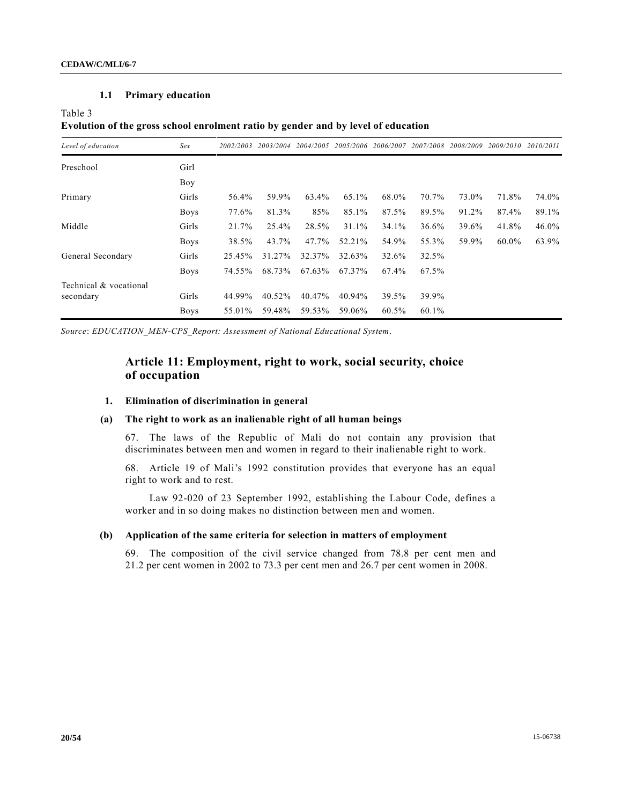### **1.1 Primary education**

Table 3

# **Evolution of the gross school enrolment ratio by gender and by level of education**

| Level of education     | Sex         | 2002/2003 | 2003/2004 | 2004/2005 | 2005/2006 | 2006/2007 | 2007/2008 | 2008/2009 | 2009/2010 | 2010/2011 |
|------------------------|-------------|-----------|-----------|-----------|-----------|-----------|-----------|-----------|-----------|-----------|
| Preschool              | Girl        |           |           |           |           |           |           |           |           |           |
|                        | Boy         |           |           |           |           |           |           |           |           |           |
| Primary                | Girls       | 56.4%     | 59.9%     | 63.4%     | 65.1%     | 68.0%     | 70.7%     | 73.0%     | 71.8%     | 74.0%     |
|                        | <b>Boys</b> | 77.6%     | 81.3%     | 85%       | 85.1%     | 87.5%     | 89.5%     | 91.2%     | 87.4%     | 89.1%     |
| Middle                 | Girls       | 21.7%     | 25.4%     | 28.5%     | 31.1%     | 34.1%     | 36.6%     | 39.6%     | 41.8%     | $46.0\%$  |
|                        | <b>Boys</b> | 38.5%     | 43.7%     | 47.7%     | 52.21%    | 54.9%     | 55.3%     | 59.9%     | 60.0%     | 63.9%     |
| General Secondary      | Girls       | 25.45%    | 31.27%    | 32.37%    | 32.63%    | 32.6%     | 32.5%     |           |           |           |
|                        | <b>Boys</b> | 74.55%    | 68.73%    | 67.63%    | 67.37%    | 67.4%     | 67.5%     |           |           |           |
| Technical & vocational |             |           |           |           |           |           |           |           |           |           |
| secondary              | Girls       | 44.99%    | 40.52%    | 40.47%    | 40.94%    | 39.5%     | 39.9%     |           |           |           |
|                        | <b>Boys</b> | 55.01%    | 59.48%    | 59.53%    | 59.06%    | 60.5%     | 60.1%     |           |           |           |

*Source*: *EDUCATION\_MEN-CPS\_Report: Assessment of National Educational System*.

# **Article 11: Employment, right to work, social security, choice of occupation**

#### **1. Elimination of discrimination in general**

### **(a) The right to work as an inalienable right of all human beings**

67. The laws of the Republic of Mali do not contain any provision that discriminates between men and women in regard to their inalienable right to work.

68. Article 19 of Mali's 1992 constitution provides that everyone has an equal right to work and to rest.

Law 92-020 of 23 September 1992, establishing the Labour Code, defines a worker and in so doing makes no distinction between men and women.

#### **(b) Application of the same criteria for selection in matters of employment**

69. The composition of the civil service changed from 78.8 per cent men and 21.2 per cent women in 2002 to 73.3 per cent men and 26.7 per cent women in 2008.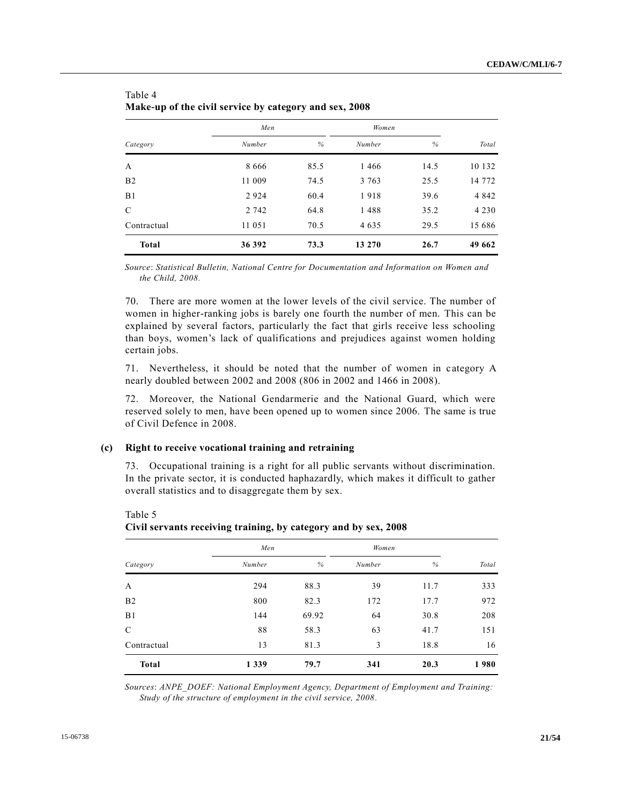| Category       | Men     |      | Women   |      |         |
|----------------|---------|------|---------|------|---------|
|                | Number  | %    | Number  | %    | Total   |
| A              | 8 6 6 6 | 85.5 | 1466    | 14.5 | 10 132  |
| B <sub>2</sub> | 11 009  | 74.5 | 3 763   | 25.5 | 14 772  |
| B <sub>1</sub> | 2924    | 60.4 | 1918    | 39.6 | 4 8 4 2 |
| C              | 2 742   | 64.8 | 1488    | 35.2 | 4 2 3 0 |
| Contractual    | 11 051  | 70.5 | 4 6 3 5 | 29.5 | 15 686  |
| <b>Total</b>   | 36 392  | 73.3 | 13 270  | 26.7 | 49 662  |

| Table 4                                                |  |  |
|--------------------------------------------------------|--|--|
| Make-up of the civil service by category and sex, 2008 |  |  |

*Source*: *Statistical Bulletin, National Centre for Documentation and Information on Women and the Child, 2008.*

70. There are more women at the lower levels of the civil service. The number of women in higher-ranking jobs is barely one fourth the number of men. This can be explained by several factors, particularly the fact that girls receive less schooling than boys, women's lack of qualifications and prejudices against women holding certain jobs.

71. Nevertheless, it should be noted that the number of women in category A nearly doubled between 2002 and 2008 (806 in 2002 and 1466 in 2008).

72. Moreover, the National Gendarmerie and the National Guard, which were reserved solely to men, have been opened up to women since 2006. The same is true of Civil Defence in 2008.

### **(c) Right to receive vocational training and retraining**

73. Occupational training is a right for all public servants without discrimination. In the private sector, it is conducted haphazardly, which makes it difficult to gather overall statistics and to disaggregate them by sex.

|                | Men     |       | Women  |      |       |
|----------------|---------|-------|--------|------|-------|
| Category       | Number  | %     | Number | $\%$ | Total |
| A              | 294     | 88.3  | 39     | 11.7 | 333   |
| B <sub>2</sub> | 800     | 82.3  | 172    | 17.7 | 972   |
| B1             | 144     | 69.92 | 64     | 30.8 | 208   |
| $\mathcal{C}$  | 88      | 58.3  | 63     | 41.7 | 151   |
| Contractual    | 13      | 81.3  | 3      | 18.8 | 16    |
| <b>Total</b>   | 1 3 3 9 | 79.7  | 341    | 20.3 | 1980  |

Table 5

**Civil servants receiving training, by category and by sex, 2008**

*Sources*: *ANPE\_DOEF: National Employment Agency, Department of Employment and Training: Study of the structure of employment in the civil service, 2008.*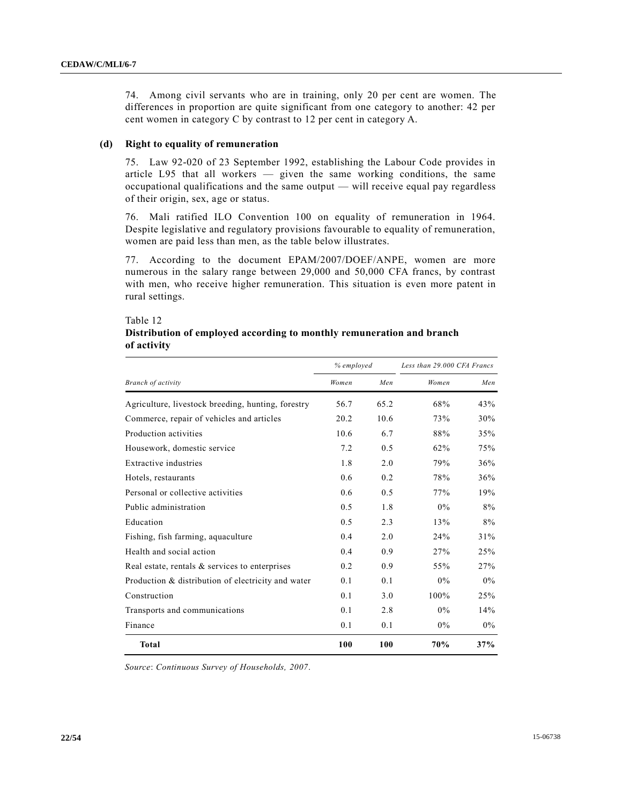74. Among civil servants who are in training, only 20 per cent are women. The differences in proportion are quite significant from one category to another: 42 per cent women in category C by contrast to 12 per cent in category A.

#### **(d) Right to equality of remuneration**

75. Law 92-020 of 23 September 1992, establishing the Labour Code provides in article L95 that all workers — given the same working conditions, the same occupational qualifications and the same output — will receive equal pay regardless of their origin, sex, age or status.

76. Mali ratified ILO Convention 100 on equality of remuneration in 1964. Despite legislative and regulatory provisions favourable to equality of remuneration, women are paid less than men, as the table below illustrates.

77. According to the document EPAM/2007/DOEF/ANPE, women are more numerous in the salary range between 29,000 and 50,000 CFA francs, by contrast with men, who receive higher remuneration. This situation is even more patent in rural settings.

#### Table 12

# **Distribution of employed according to monthly remuneration and branch of activity**

|                                                    | % employed |      | Less than 29.000 CFA Francs |       |  |
|----------------------------------------------------|------------|------|-----------------------------|-------|--|
| Branch of activity                                 | Women      | Men  | Women                       | Men   |  |
| Agriculture, livestock breeding, hunting, forestry | 56.7       | 65.2 | 68%                         | 43%   |  |
| Commerce, repair of vehicles and articles          | 20.2       | 10.6 | 73%                         | 30%   |  |
| Production activities                              | 10.6       | 6.7  | 88%                         | 35%   |  |
| Housework, domestic service                        | 7.2        | 0.5  | 62%                         | 75%   |  |
| Extractive industries                              | 1.8        | 2.0  | 79%                         | 36%   |  |
| Hotels, restaurants                                | 0.6        | 0.2  | 78%                         | 36%   |  |
| Personal or collective activities                  | 0.6        | 0.5  | 77%                         | 19%   |  |
| Public administration                              | 0.5        | 1.8  | $0\%$                       | 8%    |  |
| Education                                          | 0.5        | 2.3  | 13%                         | 8%    |  |
| Fishing, fish farming, aquaculture                 | 0.4        | 2.0  | 24%                         | 31%   |  |
| Health and social action                           | 0.4        | 0.9  | 27%                         | 25%   |  |
| Real estate, rentals $\&$ services to enterprises  | 0.2        | 0.9  | 55%                         | 27%   |  |
| Production & distribution of electricity and water | 0.1        | 0.1  | $0\%$                       | $0\%$ |  |
| Construction                                       | 0.1        | 3.0  | 100%                        | 25%   |  |
| Transports and communications                      | 0.1        | 2.8  | $0\%$                       | 14%   |  |
| Finance                                            | 0.1        | 0.1  | $0\%$                       | $0\%$ |  |
| <b>Total</b>                                       | 100        | 100  | 70%                         | 37%   |  |

*Source*: *Continuous Survey of Households, 2007*.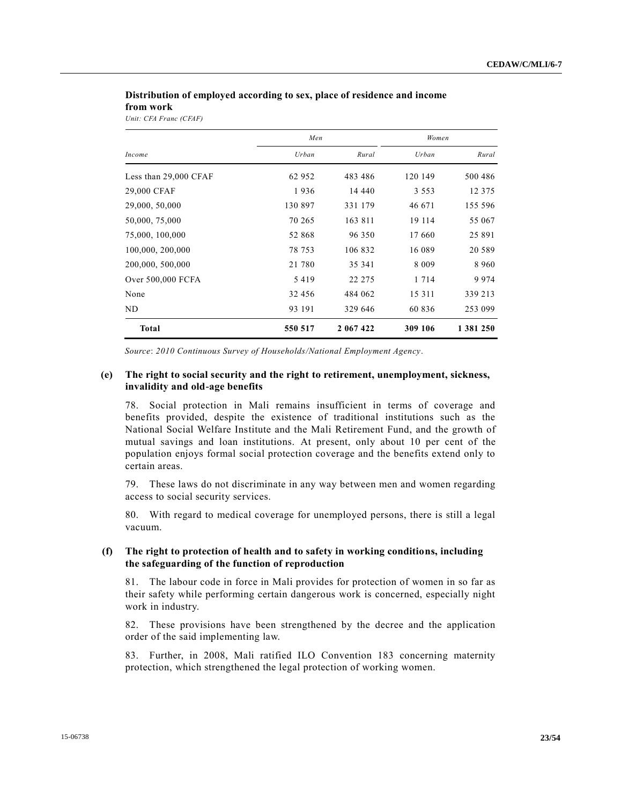### **Distribution of employed according to sex, place of residence and income from work**

*Unit: CFA Franc (CFAF)*

|                       | Men     |           | Women   |           |  |
|-----------------------|---------|-----------|---------|-----------|--|
| Income                | Urban   | Rural     | Urban   | Rural     |  |
| Less than 29,000 CFAF | 62 952  | 483 486   | 120 149 | 500 486   |  |
| 29,000 CFAF           | 1936    | 14 440    | 3 5 5 3 | 12 3 7 5  |  |
| 29,000, 50,000        | 130 897 | 331 179   | 46 671  | 155 596   |  |
| 50,000, 75,000        | 70 265  | 163 811   | 19 114  | 55 067    |  |
| 75,000, 100,000       | 52 868  | 96 350    | 17 660  | 25 891    |  |
| 100,000, 200,000      | 78 753  | 106 832   | 16 089  | 20 5 89   |  |
| 200,000, 500,000      | 21 780  | 35 341    | 8 0 0 9 | 8 9 6 0   |  |
| Over 500,000 FCFA     | 5419    | 22 275    | 1 7 1 4 | 9974      |  |
| None                  | 32 456  | 484 062   | 15 3 11 | 339 213   |  |
| ND                    | 93 191  | 329 646   | 60 836  | 253 099   |  |
| <b>Total</b>          | 550 517 | 2 067 422 | 309 106 | 1 381 250 |  |

*Source*: *2010 Continuous Survey of Households/National Employment Agency*.

### **(e) The right to social security and the right to retirement, unemployment, sickness, invalidity and old-age benefits**

78. Social protection in Mali remains insufficient in terms of coverage and benefits provided, despite the existence of traditional institutions such as the National Social Welfare Institute and the Mali Retirement Fund, and the growth of mutual savings and loan institutions. At present, only about 10 per cent of the population enjoys formal social protection coverage and the benefits extend only to certain areas.

79. These laws do not discriminate in any way between men and women regarding access to social security services.

80. With regard to medical coverage for unemployed persons, there is still a legal vacuum.

### **(f) The right to protection of health and to safety in working conditions, including the safeguarding of the function of reproduction**

81. The labour code in force in Mali provides for protection of women in so far as their safety while performing certain dangerous work is concerned, especially night work in industry.

82. These provisions have been strengthened by the decree and the application order of the said implementing law.

83. Further, in 2008, Mali ratified ILO Convention 183 concerning maternity protection, which strengthened the legal protection of working women.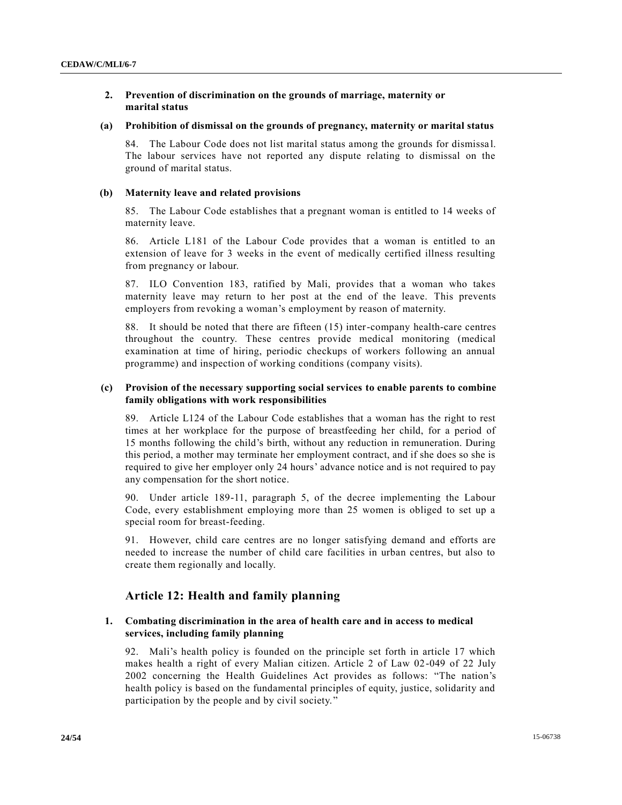# **2. Prevention of discrimination on the grounds of marriage, maternity or marital status**

### **(a) Prohibition of dismissal on the grounds of pregnancy, maternity or marital status**

84. The Labour Code does not list marital status among the grounds for dismissal. The labour services have not reported any dispute relating to dismissal on the ground of marital status.

### **(b) Maternity leave and related provisions**

85. The Labour Code establishes that a pregnant woman is entitled to 14 weeks of maternity leave.

86. Article L181 of the Labour Code provides that a woman is entitled to an extension of leave for 3 weeks in the event of medically certified illness resulting from pregnancy or labour.

87. ILO Convention 183, ratified by Mali, provides that a woman who takes maternity leave may return to her post at the end of the leave. This prevents employers from revoking a woman's employment by reason of maternity.

88. It should be noted that there are fifteen (15) inter-company health-care centres throughout the country. These centres provide medical monitoring (medical examination at time of hiring, periodic checkups of workers following an annual programme) and inspection of working conditions (company visits).

### **(c) Provision of the necessary supporting social services to enable parents to combine family obligations with work responsibilities**

89. Article L124 of the Labour Code establishes that a woman has the right to rest times at her workplace for the purpose of breastfeeding her child, for a period of 15 months following the child's birth, without any reduction in remuneration. During this period, a mother may terminate her employment contract, and if she does so she is required to give her employer only 24 hours' advance notice and is not required to pay any compensation for the short notice.

90. Under article 189-11, paragraph 5, of the decree implementing the Labour Code, every establishment employing more than 25 women is obliged to set up a special room for breast-feeding.

91. However, child care centres are no longer satisfying demand and efforts are needed to increase the number of child care facilities in urban centres, but also to create them regionally and locally.

# **Article 12: Health and family planning**

# **1. Combating discrimination in the area of health care and in access to medical services, including family planning**

92. Mali's health policy is founded on the principle set forth in article 17 which makes health a right of every Malian citizen. Article 2 of Law 02-049 of 22 July 2002 concerning the Health Guidelines Act provides as follows: "The nation's health policy is based on the fundamental principles of equity, justice, solidarity and participation by the people and by civil society."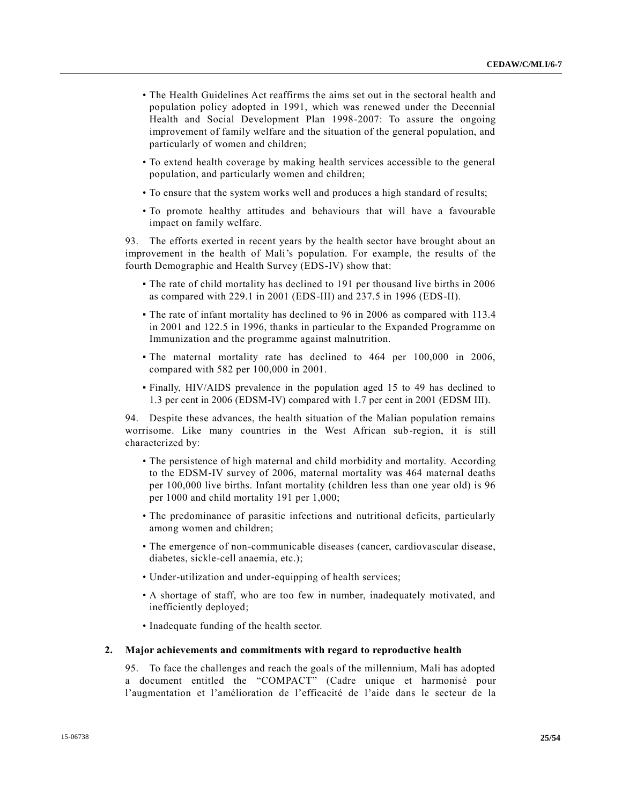- The Health Guidelines Act reaffirms the aims set out in the sectoral health and population policy adopted in 1991, which was renewed under the Decennial Health and Social Development Plan 1998-2007: To assure the ongoing improvement of family welfare and the situation of the general population, and particularly of women and children;
- To extend health coverage by making health services accessible to the general population, and particularly women and children;
- To ensure that the system works well and produces a high standard of results;
- To promote healthy attitudes and behaviours that will have a favourable impact on family welfare.

93. The efforts exerted in recent years by the health sector have brought about an improvement in the health of Mali's population. For example, the results of the fourth Demographic and Health Survey (EDS-IV) show that:

- The rate of child mortality has declined to 191 per thousand live births in 2006 as compared with 229.1 in 2001 (EDS-III) and 237.5 in 1996 (EDS-II).
- The rate of infant mortality has declined to 96 in 2006 as compared with 113.4 in 2001 and 122.5 in 1996, thanks in particular to the Expanded Programme on Immunization and the programme against malnutrition.
- The maternal mortality rate has declined to 464 per 100,000 in 2006, compared with 582 per 100,000 in 2001.
- Finally, HIV/AIDS prevalence in the population aged 15 to 49 has declined to 1.3 per cent in 2006 (EDSM-IV) compared with 1.7 per cent in 2001 (EDSM III).

94. Despite these advances, the health situation of the Malian population remains worrisome. Like many countries in the West African sub-region, it is still characterized by:

- The persistence of high maternal and child morbidity and mortality. According to the EDSM-IV survey of 2006, maternal mortality was 464 maternal deaths per 100,000 live births. Infant mortality (children less than one year old) is 96 per 1000 and child mortality 191 per 1,000;
- The predominance of parasitic infections and nutritional deficits, particularly among women and children;
- The emergence of non-communicable diseases (cancer, cardiovascular disease, diabetes, sickle-cell anaemia, etc.);
- Under-utilization and under-equipping of health services;
- A shortage of staff, who are too few in number, inadequately motivated, and inefficiently deployed;
- Inadequate funding of the health sector.

### **2. Major achievements and commitments with regard to reproductive health**

95. To face the challenges and reach the goals of the millennium, Mali has adopted a document entitled the "COMPACT" (Cadre unique et harmonisé pour l'augmentation et l'amélioration de l'efficacité de l'aide dans le secteur de la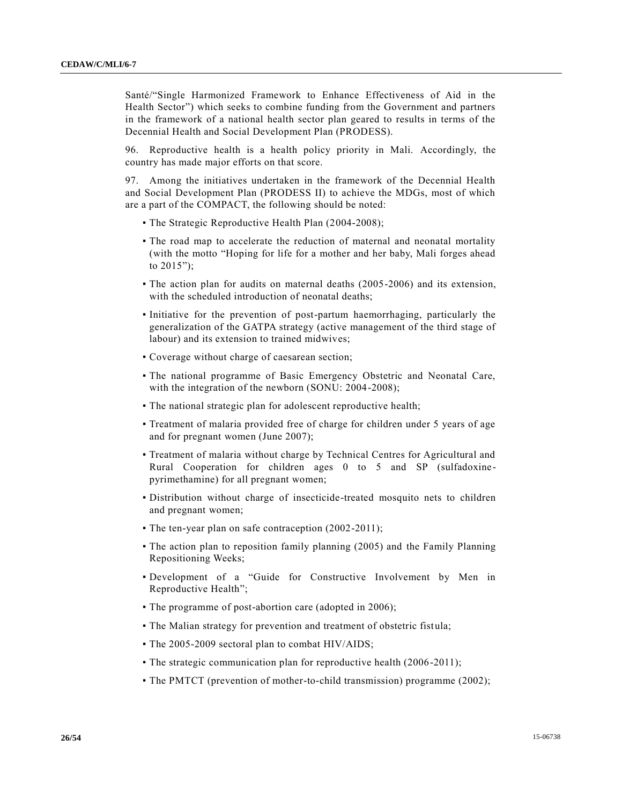Santé/"Single Harmonized Framework to Enhance Effectiveness of Aid in the Health Sector") which seeks to combine funding from the Government and partners in the framework of a national health sector plan geared to results in terms of the Decennial Health and Social Development Plan (PRODESS).

96. Reproductive health is a health policy priority in Mali. Accordingly, the country has made major efforts on that score.

97. Among the initiatives undertaken in the framework of the Decennial Health and Social Development Plan (PRODESS II) to achieve the MDGs, most of which are a part of the COMPACT, the following should be noted:

- The Strategic Reproductive Health Plan (2004-2008);
- The road map to accelerate the reduction of maternal and neonatal mortality (with the motto "Hoping for life for a mother and her baby, Mali forges ahead to  $2015$ ");
- The action plan for audits on maternal deaths (2005-2006) and its extension, with the scheduled introduction of neonatal deaths;
- Initiative for the prevention of post-partum haemorrhaging, particularly the generalization of the GATPA strategy (active management of the third stage of labour) and its extension to trained midwives;
- Coverage without charge of caesarean section;
- The national programme of Basic Emergency Obstetric and Neonatal Care, with the integration of the newborn (SONU: 2004-2008);
- The national strategic plan for adolescent reproductive health;
- Treatment of malaria provided free of charge for children under 5 years of age and for pregnant women (June 2007);
- Treatment of malaria without charge by Technical Centres for Agricultural and Rural Cooperation for children ages 0 to 5 and SP (sulfadoxinepyrimethamine) for all pregnant women;
- Distribution without charge of insecticide-treated mosquito nets to children and pregnant women;
- The ten-year plan on safe contraception (2002-2011);
- The action plan to reposition family planning (2005) and the Family Planning Repositioning Weeks;
- Development of a "Guide for Constructive Involvement by Men in Reproductive Health";
- The programme of post-abortion care (adopted in 2006);
- The Malian strategy for prevention and treatment of obstetric fistula;
- The 2005-2009 sectoral plan to combat HIV/AIDS;
- The strategic communication plan for reproductive health (2006-2011);
- The PMTCT (prevention of mother-to-child transmission) programme (2002);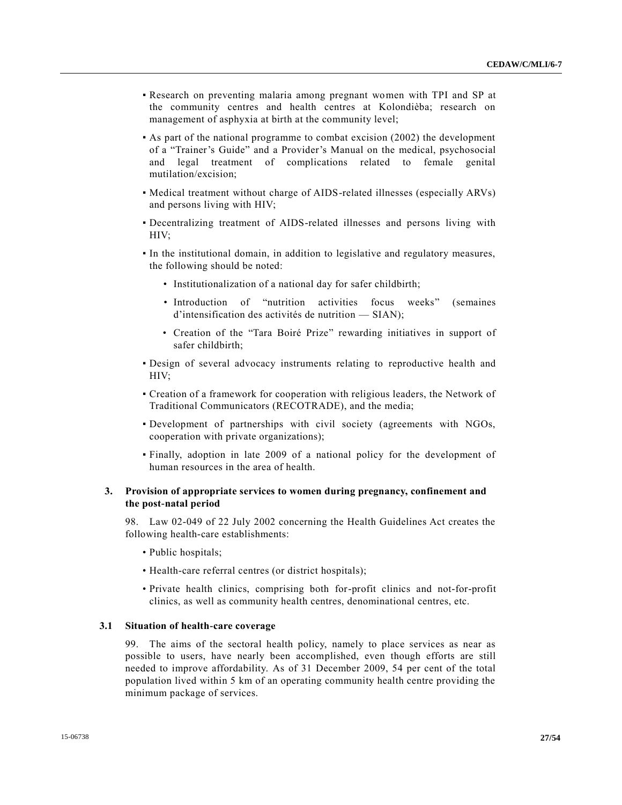- Research on preventing malaria among pregnant women with TPI and SP at the community centres and health centres at Kolondièba; research on management of asphyxia at birth at the community level;
- As part of the national programme to combat excision (2002) the development of a "Trainer's Guide" and a Provider's Manual on the medical, psychosocial and legal treatment of complications related to female genital mutilation/excision;
- Medical treatment without charge of AIDS-related illnesses (especially ARVs) and persons living with HIV;
- Decentralizing treatment of AIDS-related illnesses and persons living with HIV;
- In the institutional domain, in addition to legislative and regulatory measures, the following should be noted:
	- Institutionalization of a national day for safer childbirth;
	- Introduction of "nutrition activities focus weeks" (semaines d'intensification des activités de nutrition — SIAN);
	- Creation of the "Tara Boiré Prize" rewarding initiatives in support of safer childbirth;
- Design of several advocacy instruments relating to reproductive health and HIV;
- Creation of a framework for cooperation with religious leaders, the Network of Traditional Communicators (RECOTRADE), and the media;
- Development of partnerships with civil society (agreements with NGOs, cooperation with private organizations);
- Finally, adoption in late 2009 of a national policy for the development of human resources in the area of health.

# **3. Provision of appropriate services to women during pregnancy, confinement and the post-natal period**

98. Law 02-049 of 22 July 2002 concerning the Health Guidelines Act creates the following health-care establishments:

- Public hospitals;
- Health-care referral centres (or district hospitals);
- Private health clinics, comprising both for-profit clinics and not-for-profit clinics, as well as community health centres, denominational centres, etc.

### **3.1 Situation of health-care coverage**

99. The aims of the sectoral health policy, namely to place services as near as possible to users, have nearly been accomplished, even though efforts are still needed to improve affordability. As of 31 December 2009, 54 per cent of the total population lived within 5 km of an operating community health centre providing the minimum package of services.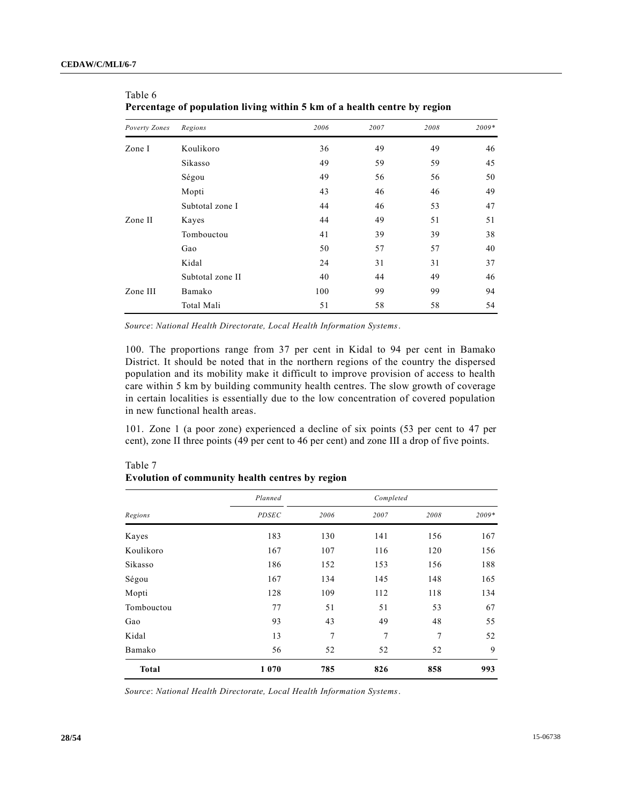| Poverty Zones | т стестаде от роршанон нушд within э кm от а неани сенте ву тедюн<br>Regions | 2006 | 2007 | 2008 | $2009*$ |
|---------------|------------------------------------------------------------------------------|------|------|------|---------|
|               |                                                                              |      |      |      |         |
| Zone I        | Koulikoro                                                                    | 36   | 49   | 49   | 46      |
|               | Sikasso                                                                      | 49   | 59   | 59   | 45      |
|               | Ségou                                                                        | 49   | 56   | 56   | 50      |
|               | Mopti                                                                        | 43   | 46   | 46   | 49      |
|               | Subtotal zone I                                                              | 44   | 46   | 53   | 47      |
| Zone II       | Kayes                                                                        | 44   | 49   | 51   | 51      |
|               | Tombouctou                                                                   | 41   | 39   | 39   | 38      |
|               | Gao                                                                          | 50   | 57   | 57   | 40      |
|               | Kidal                                                                        | 24   | 31   | 31   | 37      |
|               | Subtotal zone II                                                             | 40   | 44   | 49   | 46      |
| Zone III      | Bamako                                                                       | 100  | 99   | 99   | 94      |
|               | Total Mali                                                                   | 51   | 58   | 58   | 54      |

| Table 6 |                                                                          |  |  |
|---------|--------------------------------------------------------------------------|--|--|
|         | Percentage of population living within 5 km of a health centre by region |  |  |

*Source*: *National Health Directorate, Local Health Information Systems*.

100. The proportions range from 37 per cent in Kidal to 94 per cent in Bamako District. It should be noted that in the northern regions of the country the dispersed population and its mobility make it difficult to improve provision of access to health care within 5 km by building community health centres. The slow growth of coverage in certain localities is essentially due to the low concentration of covered population in new functional health areas.

101. Zone 1 (a poor zone) experienced a decline of six points (53 per cent to 47 per cent), zone II three points (49 per cent to 46 per cent) and zone III a drop of five points.

|              | Planned      |      | Completed |                |       |
|--------------|--------------|------|-----------|----------------|-------|
| Regions      | <b>PDSEC</b> | 2006 | 2007      | 2008           | 2009* |
| Kayes        | 183          | 130  | 141       | 156            | 167   |
| Koulikoro    | 167          | 107  | 116       | 120            | 156   |
| Sikasso      | 186          | 152  | 153       | 156            | 188   |
| Ségou        | 167          | 134  | 145       | 148            | 165   |
| Mopti        | 128          | 109  | 112       | 118            | 134   |
| Tombouctou   | 77           | 51   | 51        | 53             | 67    |
| Gao          | 93           | 43   | 49        | 48             | 55    |
| Kidal        | 13           | 7    | 7         | $\overline{7}$ | 52    |
| Bamako       | 56           | 52   | 52        | 52             | 9     |
| <b>Total</b> | 1070         | 785  | 826       | 858            | 993   |

**Evolution of community health centres by region**

Table 7

*Source*: *National Health Directorate, Local Health Information Systems*.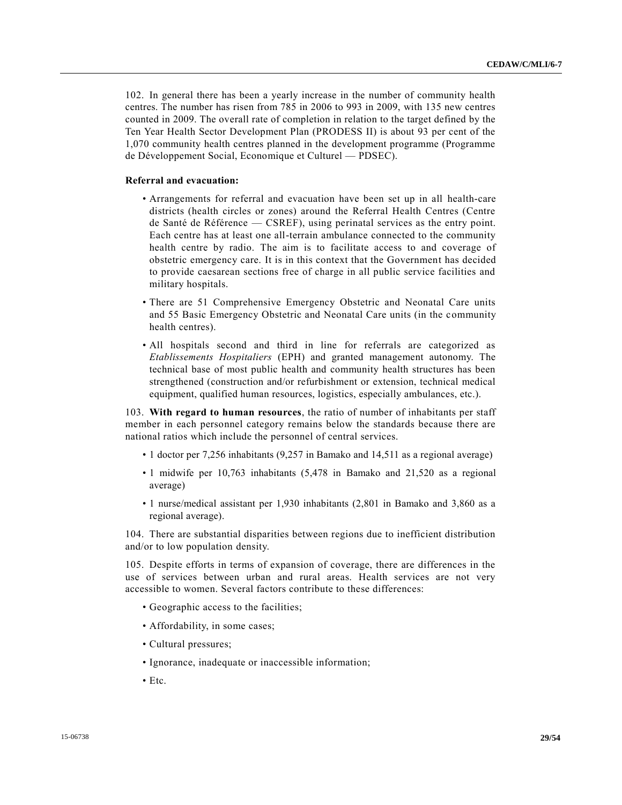102. In general there has been a yearly increase in the number of community health centres. The number has risen from 785 in 2006 to 993 in 2009, with 135 new centres counted in 2009. The overall rate of completion in relation to the target defined by the Ten Year Health Sector Development Plan (PRODESS II) is about 93 per cent of the 1,070 community health centres planned in the development programme (Programme de Développement Social, Economique et Culturel — PDSEC).

# **Referral and evacuation:**

- Arrangements for referral and evacuation have been set up in all health-care districts (health circles or zones) around the Referral Health Centres (Centre de Santé de Référence — CSREF), using perinatal services as the entry point. Each centre has at least one all-terrain ambulance connected to the community health centre by radio. The aim is to facilitate access to and coverage of obstetric emergency care. It is in this context that the Government has decided to provide caesarean sections free of charge in all public service facilities and military hospitals.
- There are 51 Comprehensive Emergency Obstetric and Neonatal Care units and 55 Basic Emergency Obstetric and Neonatal Care units (in the community health centres).
- All hospitals second and third in line for referrals are categorized as *Etablissements Hospitaliers* (EPH) and granted management autonomy. The technical base of most public health and community health structures has been strengthened (construction and/or refurbishment or extension, technical medical equipment, qualified human resources, logistics, especially ambulances, etc.).

103. **With regard to human resources**, the ratio of number of inhabitants per staff member in each personnel category remains below the standards because there are national ratios which include the personnel of central services.

- 1 doctor per 7,256 inhabitants (9,257 in Bamako and 14,511 as a regional average)
- 1 midwife per 10,763 inhabitants (5,478 in Bamako and 21,520 as a regional average)
- 1 nurse/medical assistant per 1,930 inhabitants (2,801 in Bamako and 3,860 as a regional average).

104. There are substantial disparities between regions due to inefficient distribution and/or to low population density.

105. Despite efforts in terms of expansion of coverage, there are differences in the use of services between urban and rural areas. Health services are not very accessible to women. Several factors contribute to these differences:

- Geographic access to the facilities;
- Affordability, in some cases;
- Cultural pressures;
- Ignorance, inadequate or inaccessible information;
- Etc.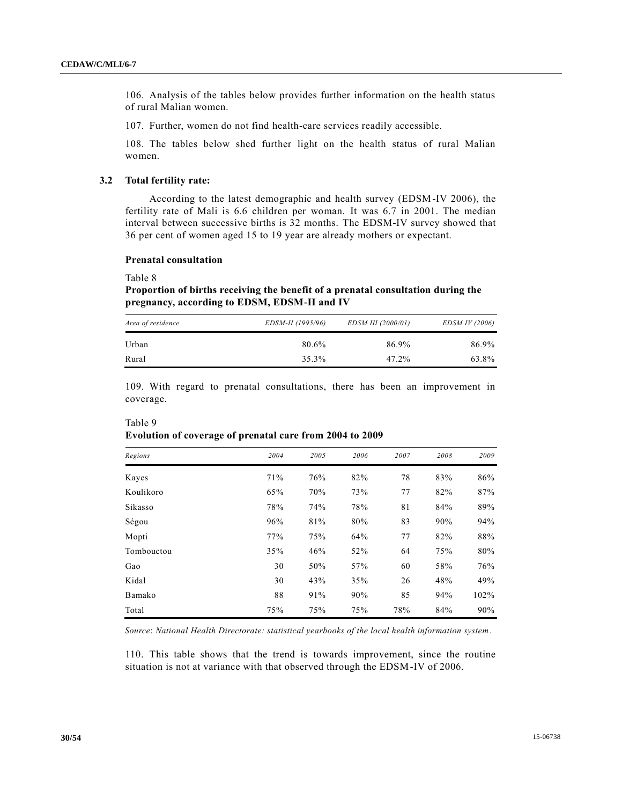106. Analysis of the tables below provides further information on the health status of rural Malian women.

107. Further, women do not find health-care services readily accessible.

108. The tables below shed further light on the health status of rural Malian women.

# **3.2 Total fertility rate:**

According to the latest demographic and health survey (EDSM-IV 2006), the fertility rate of Mali is 6.6 children per woman. It was 6.7 in 2001. The median interval between successive births is 32 months. The EDSM-IV survey showed that 36 per cent of women aged 15 to 19 year are already mothers or expectant.

#### **Prenatal consultation**

Table 8

**Proportion of births receiving the benefit of a prenatal consultation during the pregnancy, according to EDSM, EDSM-II and IV**

| Area of residence | EDSM-II (1995/96) | EDSM III (2000/01) | EDSM IV (2006) |
|-------------------|-------------------|--------------------|----------------|
| Urban             | 80.6%             | 86.9%              | 86.9%          |
| Rural             | 35.3%             | $47.2\%$           | 63.8%          |

109. With regard to prenatal consultations, there has been an improvement in coverage.

| Table 9                                                  |  |
|----------------------------------------------------------|--|
| Evolution of coverage of prenatal care from 2004 to 2009 |  |
|                                                          |  |

| Regions    | 2004 | 2005 | 2006 | 2007 | 2008 | 2009 |
|------------|------|------|------|------|------|------|
| Kayes      | 71%  | 76%  | 82%  | 78   | 83%  | 86%  |
| Koulikoro  | 65%  | 70%  | 73%  | 77   | 82%  | 87%  |
| Sikasso    | 78%  | 74%  | 78%  | 81   | 84%  | 89%  |
| Ségou      | 96%  | 81%  | 80%  | 83   | 90%  | 94%  |
| Mopti      | 77%  | 75%  | 64%  | 77   | 82%  | 88%  |
| Tombouctou | 35%  | 46%  | 52%  | 64   | 75%  | 80%  |
| Gao        | 30   | 50%  | 57%  | 60   | 58%  | 76%  |
| Kidal      | 30   | 43%  | 35%  | 26   | 48%  | 49%  |
| Bamako     | 88   | 91%  | 90%  | 85   | 94%  | 102% |
| Total      | 75%  | 75%  | 75%  | 78%  | 84%  | 90%  |

*Source*: *National Health Directorate: statistical yearbooks of the local health information system*.

110. This table shows that the trend is towards improvement, since the routine situation is not at variance with that observed through the EDSM-IV of 2006.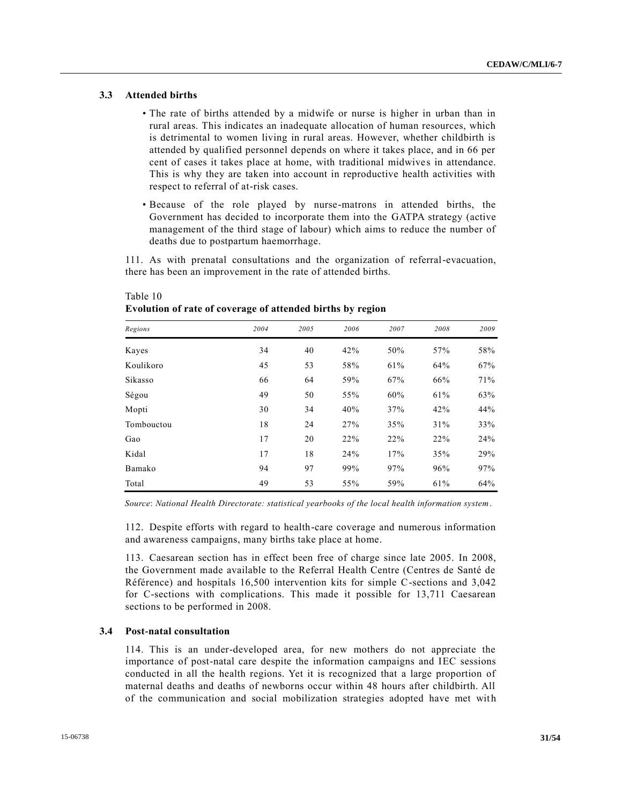# **3.3 Attended births**

- The rate of births attended by a midwife or nurse is higher in urban than in rural areas. This indicates an inadequate allocation of human resources, which is detrimental to women living in rural areas. However, whether childbirth is attended by qualified personnel depends on where it takes place, and in 66 per cent of cases it takes place at home, with traditional midwives in attendance. This is why they are taken into account in reproductive health activities with respect to referral of at-risk cases.
- Because of the role played by nurse-matrons in attended births, the Government has decided to incorporate them into the GATPA strategy (active management of the third stage of labour) which aims to reduce the number of deaths due to postpartum haemorrhage.

111. As with prenatal consultations and the organization of referral-evacuation, there has been an improvement in the rate of attended births.

| Regions    | 2004 | 2005 | 2006 | 2007 | 2008 | 2009 |
|------------|------|------|------|------|------|------|
| Kayes      | 34   | 40   | 42%  | 50%  | 57%  | 58%  |
| Koulikoro  | 45   | 53   | 58%  | 61%  | 64%  | 67%  |
| Sikasso    | 66   | 64   | 59%  | 67%  | 66%  | 71%  |
| Ségou      | 49   | 50   | 55%  | 60%  | 61%  | 63%  |
| Mopti      | 30   | 34   | 40%  | 37%  | 42%  | 44%  |
| Tombouctou | 18   | 24   | 27%  | 35%  | 31%  | 33%  |
| Gao        | 17   | 20   | 22%  | 22%  | 22%  | 24%  |
| Kidal      | 17   | 18   | 24%  | 17%  | 35%  | 29%  |
| Bamako     | 94   | 97   | 99%  | 97%  | 96%  | 97%  |
| Total      | 49   | 53   | 55%  | 59%  | 61%  | 64%  |

# Table 10 **Evolution of rate of coverage of attended births by region**

*Source*: *National Health Directorate: statistical yearbooks of the local health information system*.

112. Despite efforts with regard to health-care coverage and numerous information and awareness campaigns, many births take place at home.

113. Caesarean section has in effect been free of charge since late 2005. In 2008, the Government made available to the Referral Health Centre (Centres de Santé de Référence) and hospitals 16,500 intervention kits for simple C-sections and 3,042 for C-sections with complications. This made it possible for 13,711 Caesarean sections to be performed in 2008.

### **3.4 Post-natal consultation**

114. This is an under-developed area, for new mothers do not appreciate the importance of post-natal care despite the information campaigns and IEC sessions conducted in all the health regions. Yet it is recognized that a large proportion of maternal deaths and deaths of newborns occur within 48 hours after childbirth. All of the communication and social mobilization strategies adopted have met wit h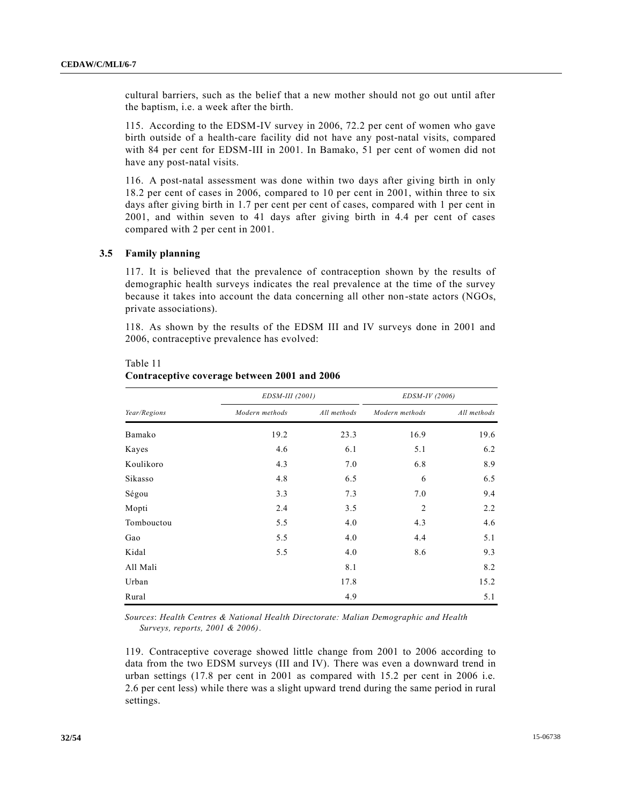cultural barriers, such as the belief that a new mother should not go out until after the baptism, i.e. a week after the birth.

115. According to the EDSM-IV survey in 2006, 72.2 per cent of women who gave birth outside of a health-care facility did not have any post-natal visits, compared with 84 per cent for EDSM-III in 2001. In Bamako, 51 per cent of women did not have any post-natal visits.

116. A post-natal assessment was done within two days after giving birth in only 18.2 per cent of cases in 2006, compared to 10 per cent in 2001, within three to six days after giving birth in 1.7 per cent per cent of cases, compared with 1 per cent in 2001, and within seven to 41 days after giving birth in 4.4 per cent of cases compared with 2 per cent in 2001.

### **3.5 Family planning**

Table 11

117. It is believed that the prevalence of contraception shown by the results of demographic health surveys indicates the real prevalence at the time of the survey because it takes into account the data concerning all other non-state actors (NGOs, private associations).

118. As shown by the results of the EDSM III and IV surveys done in 2001 and 2006, contraceptive prevalence has evolved:

|              | EDSM-III (2001) |             | EDSM-IV (2006) |             |
|--------------|-----------------|-------------|----------------|-------------|
| Year/Regions | Modern methods  | All methods | Modern methods | All methods |
| Bamako       | 19.2            | 23.3        | 16.9           | 19.6        |
| Kayes        | 4.6             | 6.1         | 5.1            | 6.2         |
| Koulikoro    | 4.3             | 7.0         | 6.8            | 8.9         |
| Sikasso      | 4.8             | 6.5         | 6              | 6.5         |
| Ségou        | 3.3             | 7.3         | 7.0            | 9.4         |
| Mopti        | 2.4             | 3.5         | $\overline{2}$ | 2.2         |
| Tombouctou   | 5.5             | 4.0         | 4.3            | 4.6         |
| Gao          | 5.5             | 4.0         | 4.4            | 5.1         |
| Kidal        | 5.5             | 4.0         | 8.6            | 9.3         |
| All Mali     |                 | 8.1         |                | 8.2         |
| Urban        |                 | 17.8        |                | 15.2        |
| Rural        |                 | 4.9         |                | 5.1         |

**Contraceptive coverage between 2001 and 2006**

*Sources*: *Health Centres & National Health Directorate: Malian Demographic and Health Surveys, reports, 2001 & 2006)*.

119. Contraceptive coverage showed little change from 2001 to 2006 according to data from the two EDSM surveys (III and IV). There was even a downward trend in urban settings (17.8 per cent in 2001 as compared with 15.2 per cent in 2006 i.e. 2.6 per cent less) while there was a slight upward trend during the same period in rural settings.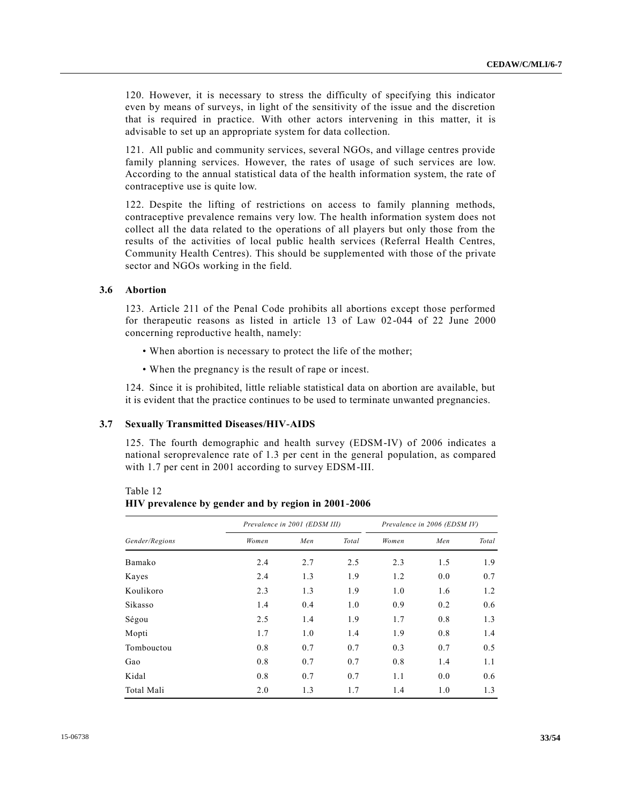120. However, it is necessary to stress the difficulty of specifying this indicator even by means of surveys, in light of the sensitivity of the issue and the discretion that is required in practice. With other actors intervening in this matter, it is advisable to set up an appropriate system for data collection.

121. All public and community services, several NGOs, and village centres provide family planning services. However, the rates of usage of such services are low. According to the annual statistical data of the health information system, the rate of contraceptive use is quite low.

122. Despite the lifting of restrictions on access to family planning methods, contraceptive prevalence remains very low. The health information system does not collect all the data related to the operations of all players but only those from the results of the activities of local public health services (Referral Health Centres, Community Health Centres). This should be supplemented with those of the private sector and NGOs working in the field.

### **3.6 Abortion**

Table 12

123. Article 211 of the Penal Code prohibits all abortions except those performed for therapeutic reasons as listed in article 13 of Law 02-044 of 22 June 2000 concerning reproductive health, namely:

- When abortion is necessary to protect the life of the mother;
- When the pregnancy is the result of rape or incest.

124. Since it is prohibited, little reliable statistical data on abortion are available, but it is evident that the practice continues to be used to terminate unwanted pregnancies.

# **3.7 Sexually Transmitted Diseases/HIV-AIDS**

125. The fourth demographic and health survey (EDSM-IV) of 2006 indicates a national seroprevalence rate of 1.3 per cent in the general population, as compared with 1.7 per cent in 2001 according to survey EDSM-III.

*Gender/Regions Prevalence in 2001 (EDSM III) Prevalence in 2006 (EDSM IV) Women Men Total Women Men Total* Bamako 2.4 2.7 2.5 2.3 1.5 1.9 Kayes 2.4 1.3 1.9 1.2 0.0 0.7 Koulikoro 2.3 1.3 1.9 1.0 1.6 1.2 Sikasso 1.4 0.4 1.0 0.9 0.2 0.6 Ségou 2.5 1.4 1.9 1.7 0.8 1.3 Mopti 1.7 1.0 1.4 1.9 0.8 1.4 Tombouctou 0.8 0.7 0.7 0.3 0.7 0.5 Gao 6.8 0.7 0.7 0.8 1.4 1.1 Kidal 0.8 0.7 0.7 1.1 0.0 0.6 Total Mali 2.0 1.3 1.7 1.4 1.0 1.3

| $1401C$ $12$                                        |  |  |
|-----------------------------------------------------|--|--|
| HIV prevalence by gender and by region in 2001-2006 |  |  |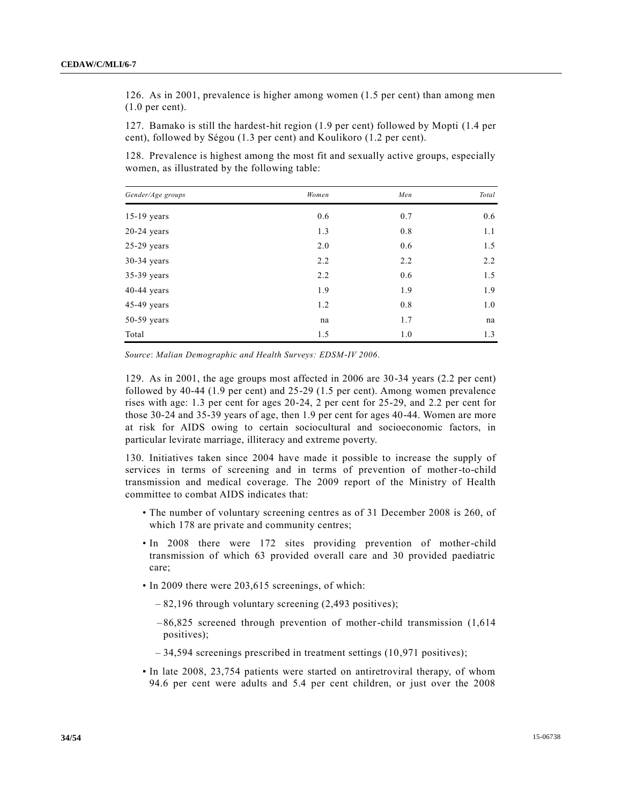126. As in 2001, prevalence is higher among women (1.5 per cent) than among men (1.0 per cent).

127. Bamako is still the hardest-hit region (1.9 per cent) followed by Mopti (1.4 per cent), followed by Ségou (1.3 per cent) and Koulikoro (1.2 per cent).

128. Prevalence is highest among the most fit and sexually active groups, especially women, as illustrated by the following table:

| Gender/Age groups | Women | Men | Total |
|-------------------|-------|-----|-------|
| $15-19$ years     | 0.6   | 0.7 | 0.6   |
| $20-24$ years     | 1.3   | 0.8 | 1.1   |
| $25-29$ years     | 2.0   | 0.6 | 1.5   |
| $30-34$ years     | 2.2   | 2.2 | 2.2   |
| $35-39$ years     | 2.2   | 0.6 | 1.5   |
| $40-44$ years     | 1.9   | 1.9 | 1.9   |
| $45-49$ years     | 1.2   | 0.8 | 1.0   |
| $50-59$ years     | na    | 1.7 | na    |
| Total             | 1.5   | 1.0 | 1.3   |

*Source*: *Malian Demographic and Health Surveys: EDSM-IV 2006*.

129. As in 2001, the age groups most affected in 2006 are 30-34 years (2.2 per cent) followed by 40-44 (1.9 per cent) and 25-29 (1.5 per cent). Among women prevalence rises with age: 1.3 per cent for ages 20-24, 2 per cent for 25-29, and 2.2 per cent for those 30-24 and 35-39 years of age, then 1.9 per cent for ages 40-44. Women are more at risk for AIDS owing to certain sociocultural and socioeconomic factors, in particular levirate marriage, illiteracy and extreme poverty.

130. Initiatives taken since 2004 have made it possible to increase the supply of services in terms of screening and in terms of prevention of mother-to-child transmission and medical coverage. The 2009 report of the Ministry of Health committee to combat AIDS indicates that:

- The number of voluntary screening centres as of 31 December 2008 is 260, of which 178 are private and community centres;
- In 2008 there were 172 sites providing prevention of mother-child transmission of which 63 provided overall care and 30 provided paediatric care;
- In 2009 there were 203,615 screenings, of which:
	- 82,196 through voluntary screening (2,493 positives);
	- $-86,825$  screened through prevention of mother-child transmission  $(1,614)$ positives);
	- 34,594 screenings prescribed in treatment settings (10,971 positives);
- In late 2008, 23,754 patients were started on antiretroviral therapy, of whom 94.6 per cent were adults and 5.4 per cent children, or just over the 2008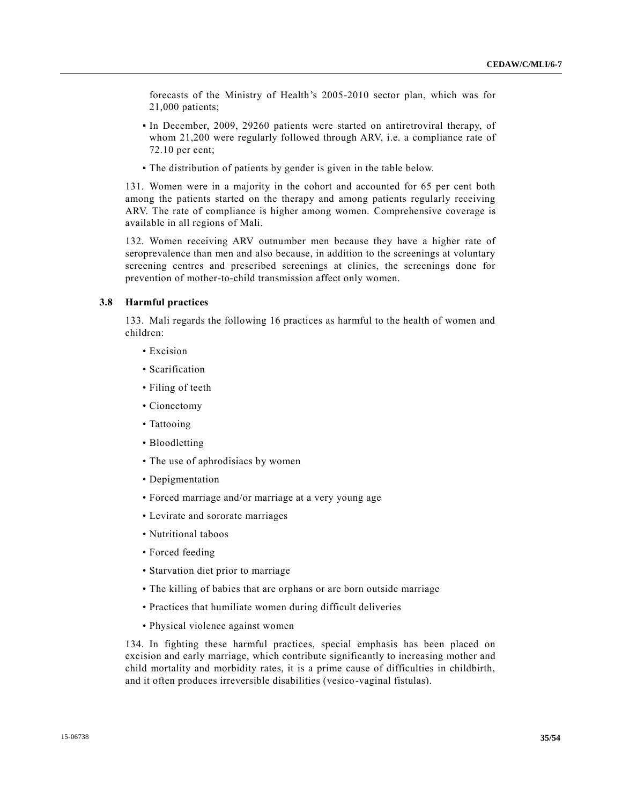forecasts of the Ministry of Health's 2005-2010 sector plan, which was for 21,000 patients;

- In December, 2009, 29260 patients were started on antiretroviral therapy, of whom 21,200 were regularly followed through ARV, i.e. a compliance rate of 72.10 per cent;
- The distribution of patients by gender is given in the table below.

131. Women were in a majority in the cohort and accounted for 65 per cent both among the patients started on the therapy and among patients regularly receiving ARV. The rate of compliance is higher among women. Comprehensive coverage is available in all regions of Mali.

132. Women receiving ARV outnumber men because they have a higher rate of seroprevalence than men and also because, in addition to the screenings at voluntary screening centres and prescribed screenings at clinics, the screenings done for prevention of mother-to-child transmission affect only women.

### **3.8 Harmful practices**

133. Mali regards the following 16 practices as harmful to the health of women and children:

- Excision
- Scarification
- Filing of teeth
- Cionectomy
- Tattooing
- Bloodletting
- The use of aphrodisiacs by women
- Depigmentation
- Forced marriage and/or marriage at a very young age
- Levirate and sororate marriages
- Nutritional taboos
- Forced feeding
- Starvation diet prior to marriage
- The killing of babies that are orphans or are born outside marriage
- Practices that humiliate women during difficult deliveries
- Physical violence against women

134. In fighting these harmful practices, special emphasis has been placed on excision and early marriage, which contribute significantly to increasing mother and child mortality and morbidity rates, it is a prime cause of difficulties in childbirth, and it often produces irreversible disabilities (vesico-vaginal fistulas).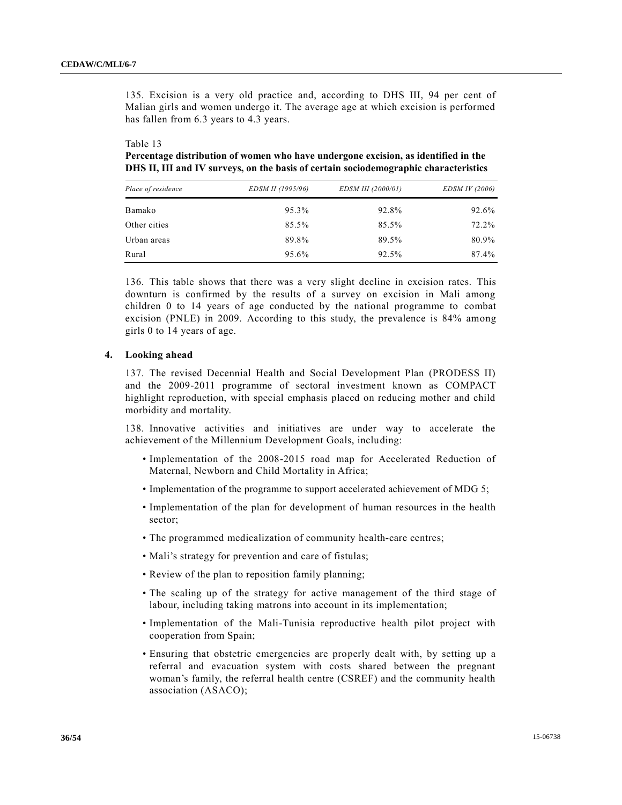135. Excision is a very old practice and, according to DHS III, 94 per cent of Malian girls and women undergo it. The average age at which excision is performed has fallen from 6.3 years to 4.3 years.

#### Table 13

**Percentage distribution of women who have undergone excision, as identified in the DHS II, III and IV surveys, on the basis of certain sociodemographic characteristics**

| Place of residence | EDSM II (1995/96) | EDSM III (2000/01) | EDSM IV (2006) |
|--------------------|-------------------|--------------------|----------------|
| Bamako             | 95.3%             | 92.8%              | 92.6%          |
| Other cities       | 85.5%             | 85.5%              | 72.2%          |
| Urban areas        | 89.8%             | 89.5%              | 80.9%          |
| Rural              | 95.6%             | 92.5%              | 87.4%          |

136. This table shows that there was a very slight decline in excision rates. This downturn is confirmed by the results of a survey on excision in Mali among children 0 to 14 years of age conducted by the national programme to combat excision (PNLE) in 2009. According to this study, the prevalence is 84% among girls 0 to 14 years of age.

# **4. Looking ahead**

137. The revised Decennial Health and Social Development Plan (PRODESS II) and the 2009-2011 programme of sectoral investment known as COMPACT highlight reproduction, with special emphasis placed on reducing mother and child morbidity and mortality.

138. Innovative activities and initiatives are under way to accelerate the achievement of the Millennium Development Goals, including:

- Implementation of the 2008-2015 road map for Accelerated Reduction of Maternal, Newborn and Child Mortality in Africa;
- Implementation of the programme to support accelerated achievement of MDG 5;
- Implementation of the plan for development of human resources in the health sector;
- The programmed medicalization of community health-care centres;
- Mali's strategy for prevention and care of fistulas;
- Review of the plan to reposition family planning;
- The scaling up of the strategy for active management of the third stage of labour, including taking matrons into account in its implementation;
- Implementation of the Mali-Tunisia reproductive health pilot project with cooperation from Spain;
- Ensuring that obstetric emergencies are properly dealt with, by setting up a referral and evacuation system with costs shared between the pregnant woman's family, the referral health centre (CSREF) and the community health association (ASACO);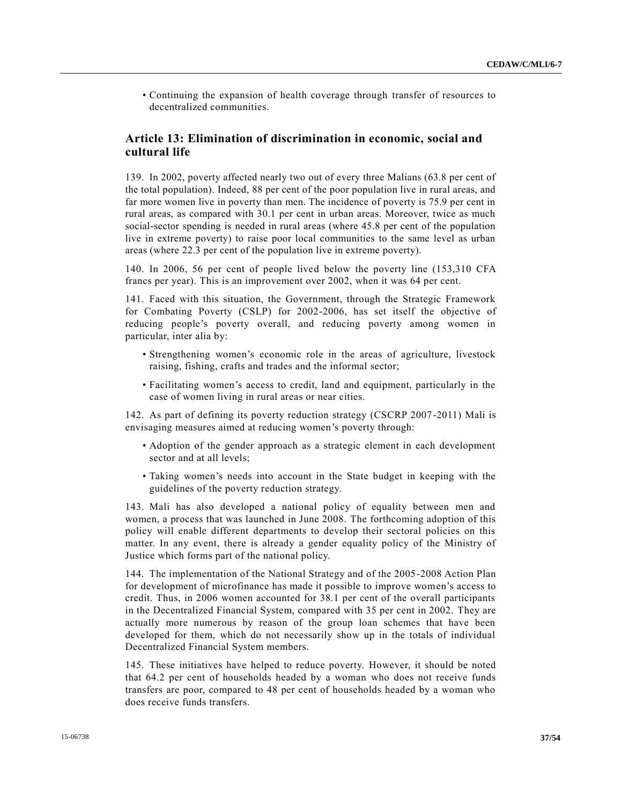• Continuing the expansion of health coverage through transfer of resources to decentralized communities.

# **Article 13: Elimination of discrimination in economic, social and cultural life**

139. In 2002, poverty affected nearly two out of every three Malians (63.8 per cent of the total population). Indeed, 88 per cent of the poor population live in rural areas, and far more women live in poverty than men. The incidence of poverty is 75.9 per cent in rural areas, as compared with 30.1 per cent in urban areas. Moreover, twice as much social-sector spending is needed in rural areas (where 45.8 per cent of the population live in extreme poverty) to raise poor local communities to the same level as urban areas (where 22.3 per cent of the population live in extreme poverty).

140. In 2006, 56 per cent of people lived below the poverty line (153,310 CFA francs per year). This is an improvement over 2002, when it was 64 per cent.

141. Faced with this situation, the Government, through the Strategic Framework for Combating Poverty (CSLP) for 2002-2006, has set itself the objective of reducing people's poverty overall, and reducing poverty among women in particular, inter alia by:

- Strengthening women's economic role in the areas of agriculture, livestock raising, fishing, crafts and trades and the informal sector;
- Facilitating women's access to credit, land and equipment, particularly in the case of women living in rural areas or near cities.

142. As part of defining its poverty reduction strategy (CSCRP 2007-2011) Mali is envisaging measures aimed at reducing women's poverty through:

- Adoption of the gender approach as a strategic element in each development sector and at all levels;
- Taking women's needs into account in the State budget in keeping with the guidelines of the poverty reduction strategy.

143. Mali has also developed a national policy of equality between men and women, a process that was launched in June 2008. The forthcoming adoption of this policy will enable different departments to develop their sectoral policies on this matter. In any event, there is already a gender equality policy of the Ministry of Justice which forms part of the national policy.

144. The implementation of the National Strategy and of the 2005-2008 Action Plan for development of microfinance has made it possible to improve women's access to credit. Thus, in 2006 women accounted for 38.1 per cent of the overall participants in the Decentralized Financial System, compared with 35 per cent in 2002. They are actually more numerous by reason of the group loan schemes that have been developed for them, which do not necessarily show up in the totals of individual Decentralized Financial System members.

145. These initiatives have helped to reduce poverty. However, it should be noted that 64.2 per cent of households headed by a woman who does not receive funds transfers are poor, compared to 48 per cent of households headed by a woman who does receive funds transfers.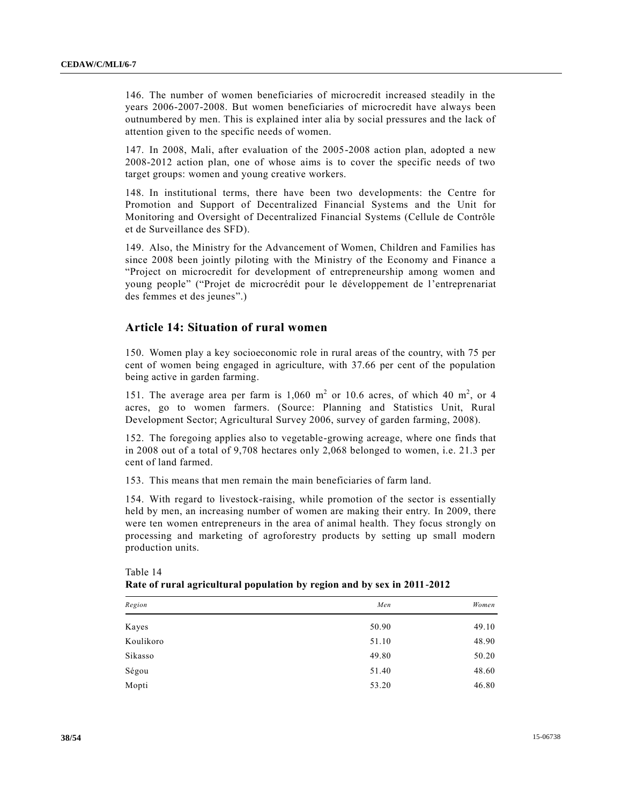146. The number of women beneficiaries of microcredit increased steadily in the years 2006-2007-2008. But women beneficiaries of microcredit have always been outnumbered by men. This is explained inter alia by social pressures and the lack of attention given to the specific needs of women.

147. In 2008, Mali, after evaluation of the 2005-2008 action plan, adopted a new 2008-2012 action plan, one of whose aims is to cover the specific needs of two target groups: women and young creative workers.

148. In institutional terms, there have been two developments: the Centre for Promotion and Support of Decentralized Financial Systems and the Unit for Monitoring and Oversight of Decentralized Financial Systems (Cellule de Contrôle et de Surveillance des SFD).

149. Also, the Ministry for the Advancement of Women, Children and Families has since 2008 been jointly piloting with the Ministry of the Economy and Finance a "Project on microcredit for development of entrepreneurship among women and young people" ("Projet de microcrédit pour le développement de l'entreprenariat des femmes et des jeunes".)

# **Article 14: Situation of rural women**

150. Women play a key socioeconomic role in rural areas of the country, with 75 per cent of women being engaged in agriculture, with 37.66 per cent of the population being active in garden farming.

151. The average area per farm is  $1,060$  m<sup>2</sup> or 10.6 acres, of which 40 m<sup>2</sup>, or 4 acres, go to women farmers. (Source: Planning and Statistics Unit, Rural Development Sector; Agricultural Survey 2006, survey of garden farming, 2008).

152. The foregoing applies also to vegetable-growing acreage, where one finds that in 2008 out of a total of 9,708 hectares only 2,068 belonged to women, i.e. 21.3 per cent of land farmed.

153. This means that men remain the main beneficiaries of farm land.

154. With regard to livestock-raising, while promotion of the sector is essentially held by men, an increasing number of women are making their entry. In 2009, there were ten women entrepreneurs in the area of animal health. They focus strongly on processing and marketing of agroforestry products by setting up small modern production units.

| Region    | Men   | Women |
|-----------|-------|-------|
| Kayes     | 50.90 | 49.10 |
| Koulikoro | 51.10 | 48.90 |
| Sikasso   | 49.80 | 50.20 |
| Ségou     | 51.40 | 48.60 |
| Mopti     | 53.20 | 46.80 |

# Table 14 **Rate of rural agricultural population by region and by sex in 2011-2012**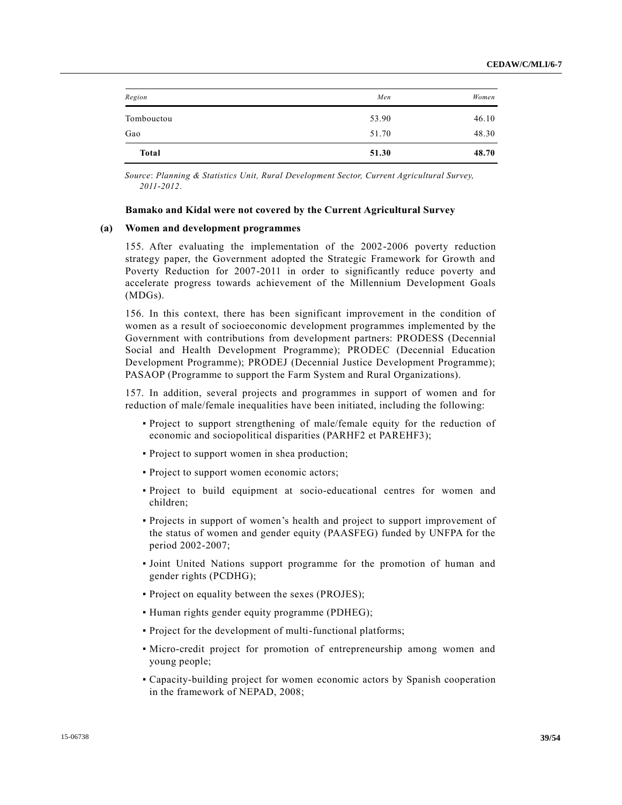| Gao        | 51.70 | 48.30 |
|------------|-------|-------|
| Tombouctou | 53.90 | 46.10 |
| Region     | Men   | Women |

*Source*: *Planning & Statistics Unit, Rural Development Sector, Current Agricultural Survey, 2011-2012*.

#### **Bamako and Kidal were not covered by the Current Agricultural Survey**

#### **(a) Women and development programmes**

155. After evaluating the implementation of the 2002-2006 poverty reduction strategy paper, the Government adopted the Strategic Framework for Growth and Poverty Reduction for 2007-2011 in order to significantly reduce poverty and accelerate progress towards achievement of the Millennium Development Goals (MDGs).

156. In this context, there has been significant improvement in the condition of women as a result of socioeconomic development programmes implemented by the Government with contributions from development partners: PRODESS (Decennial Social and Health Development Programme); PRODEC (Decennial Education Development Programme); PRODEJ (Decennial Justice Development Programme); PASAOP (Programme to support the Farm System and Rural Organizations).

157. In addition, several projects and programmes in support of women and for reduction of male/female inequalities have been initiated, including the following:

- Project to support strengthening of male/female equity for the reduction of economic and sociopolitical disparities (PARHF2 et PAREHF3);
- Project to support women in shea production;
- Project to support women economic actors;
- Project to build equipment at socio-educational centres for women and children;
- Projects in support of women's health and project to support improvement of the status of women and gender equity (PAASFEG) funded by UNFPA for the period 2002-2007;
- Joint United Nations support programme for the promotion of human and gender rights (PCDHG);
- Project on equality between the sexes (PROJES);
- Human rights gender equity programme (PDHEG);
- Project for the development of multi-functional platforms;
- Micro-credit project for promotion of entrepreneurship among women and young people;
- Capacity-building project for women economic actors by Spanish cooperation in the framework of NEPAD, 2008;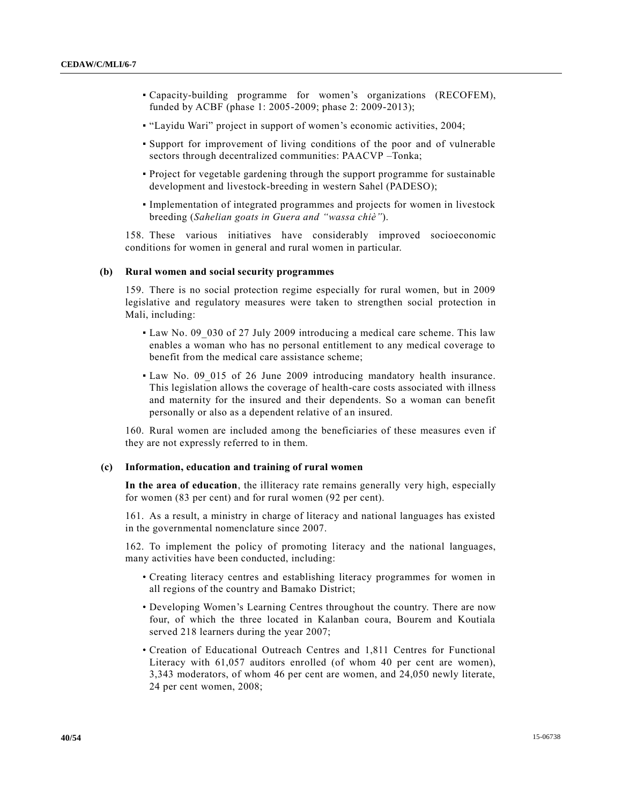- Capacity-building programme for women's organizations (RECOFEM), funded by ACBF (phase 1: 2005-2009; phase 2: 2009-2013);
- "Layidu Wari" project in support of women's economic activities, 2004;
- Support for improvement of living conditions of the poor and of vulnerable sectors through decentralized communities: PAACVP –Tonka;
- Project for vegetable gardening through the support programme for sustainable development and livestock-breeding in western Sahel (PADESO);
- Implementation of integrated programmes and projects for women in livestock breeding (*Sahelian goats in Guera and "wassa chiè"*).

158. These various initiatives have considerably improved socioeconomic conditions for women in general and rural women in particular.

### **(b) Rural women and social security programmes**

159. There is no social protection regime especially for rural women, but in 2009 legislative and regulatory measures were taken to strengthen social protection in Mali, including:

- Law No. 09 030 of 27 July 2009 introducing a medical care scheme. This law enables a woman who has no personal entitlement to any medical coverage to benefit from the medical care assistance scheme;
- Law No. 09\_015 of 26 June 2009 introducing mandatory health insurance. This legislation allows the coverage of health-care costs associated with illness and maternity for the insured and their dependents. So a woman can benefit personally or also as a dependent relative of an insured.

160. Rural women are included among the beneficiaries of these measures even if they are not expressly referred to in them.

### **(c) Information, education and training of rural women**

**In the area of education**, the illiteracy rate remains generally very high, especially for women (83 per cent) and for rural women (92 per cent).

161. As a result, a ministry in charge of literacy and national languages has existed in the governmental nomenclature since 2007.

162. To implement the policy of promoting literacy and the national languages, many activities have been conducted, including:

- Creating literacy centres and establishing literacy programmes for women in all regions of the country and Bamako District;
- Developing Women's Learning Centres throughout the country. There are now four, of which the three located in Kalanban coura, Bourem and Koutiala served 218 learners during the year 2007;
- Creation of Educational Outreach Centres and 1,811 Centres for Functional Literacy with 61,057 auditors enrolled (of whom 40 per cent are women), 3,343 moderators, of whom 46 per cent are women, and 24,050 newly literate, 24 per cent women, 2008;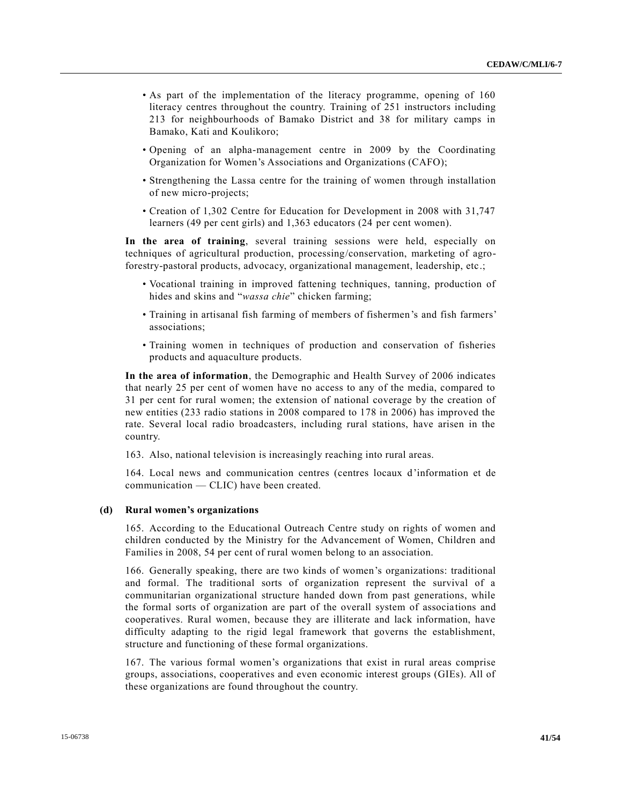- As part of the implementation of the literacy programme, opening of 160 literacy centres throughout the country. Training of 251 instructors including 213 for neighbourhoods of Bamako District and 38 for military camps in Bamako, Kati and Koulikoro;
- Opening of an alpha-management centre in 2009 by the Coordinating Organization for Women's Associations and Organizations (CAFO);
- Strengthening the Lassa centre for the training of women through installation of new micro-projects;
- Creation of 1,302 Centre for Education for Development in 2008 with 31,747 learners (49 per cent girls) and 1,363 educators (24 per cent women).

**In the area of training**, several training sessions were held, especially on techniques of agricultural production, processing/conservation, marketing of agroforestry-pastoral products, advocacy, organizational management, leadership, etc.;

- Vocational training in improved fattening techniques, tanning, production of hides and skins and "*wassa chie*" chicken farming;
- Training in artisanal fish farming of members of fishermen's and fish farmers' associations;
- Training women in techniques of production and conservation of fisheries products and aquaculture products.

**In the area of information**, the Demographic and Health Survey of 2006 indicates that nearly 25 per cent of women have no access to any of the media, compared to 31 per cent for rural women; the extension of national coverage by the creation of new entities (233 radio stations in 2008 compared to 178 in 2006) has improved the rate. Several local radio broadcasters, including rural stations, have arisen in the country.

163. Also, national television is increasingly reaching into rural areas.

164. Local news and communication centres (centres locaux d'information et de communication — CLIC) have been created.

### **(d) Rural women's organizations**

165. According to the Educational Outreach Centre study on rights of women and children conducted by the Ministry for the Advancement of Women, Children and Families in 2008, 54 per cent of rural women belong to an association.

166. Generally speaking, there are two kinds of women's organizations: traditional and formal. The traditional sorts of organization represent the survival of a communitarian organizational structure handed down from past generations, while the formal sorts of organization are part of the overall system of associations and cooperatives. Rural women, because they are illiterate and lack information, have difficulty adapting to the rigid legal framework that governs the establishment, structure and functioning of these formal organizations.

167. The various formal women's organizations that exist in rural areas comprise groups, associations, cooperatives and even economic interest groups (GIEs). All of these organizations are found throughout the country.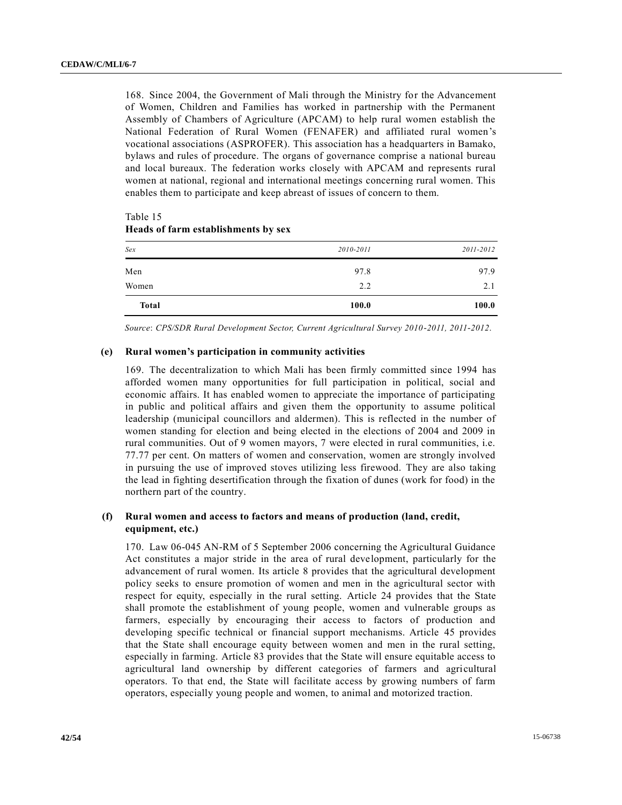168. Since 2004, the Government of Mali through the Ministry for the Advancement of Women, Children and Families has worked in partnership with the Permanent Assembly of Chambers of Agriculture (APCAM) to help rural women establish the National Federation of Rural Women (FENAFER) and affiliated rural women's vocational associations (ASPROFER). This association has a headquarters in Bamako, bylaws and rules of procedure. The organs of governance comprise a national bureau and local bureaux. The federation works closely with APCAM and represents rural women at national, regional and international meetings concerning rural women. This enables them to participate and keep abreast of issues of concern to them.

| Sex          | 2010-2011 | 2011-2012 |
|--------------|-----------|-----------|
| Men          | 97.8      | 97.9      |
| Women        | 2.2       | 2.1       |
| <b>Total</b> | 100.0     | 100.0     |

# Table 15 **Heads of farm establishments by sex**

*Source*: *CPS/SDR Rural Development Sector, Current Agricultural Survey 2010-2011, 2011-2012*.

### **(e) Rural women's participation in community activities**

169. The decentralization to which Mali has been firmly committed since 1994 has afforded women many opportunities for full participation in political, social and economic affairs. It has enabled women to appreciate the importance of participating in public and political affairs and given them the opportunity to assume political leadership (municipal councillors and aldermen). This is reflected in the number of women standing for election and being elected in the elections of 2004 and 2009 in rural communities. Out of 9 women mayors, 7 were elected in rural communities, i.e. 77.77 per cent. On matters of women and conservation, women are strongly involved in pursuing the use of improved stoves utilizing less firewood. They are also taking the lead in fighting desertification through the fixation of dunes (work for food) in the northern part of the country.

# **(f) Rural women and access to factors and means of production (land, credit, equipment, etc.)**

170. Law 06-045 AN-RM of 5 September 2006 concerning the Agricultural Guidance Act constitutes a major stride in the area of rural development, particularly for the advancement of rural women. Its article 8 provides that the agricultural development policy seeks to ensure promotion of women and men in the agricultural sector with respect for equity, especially in the rural setting. Article 24 provides that the State shall promote the establishment of young people, women and vulnerable groups as farmers, especially by encouraging their access to factors of production and developing specific technical or financial support mechanisms. Article 45 provides that the State shall encourage equity between women and men in the rural setting, especially in farming. Article 83 provides that the State will ensure equitable access to agricultural land ownership by different categories of farmers and agricultural operators. To that end, the State will facilitate access by growing numbers of farm operators, especially young people and women, to animal and motorized traction.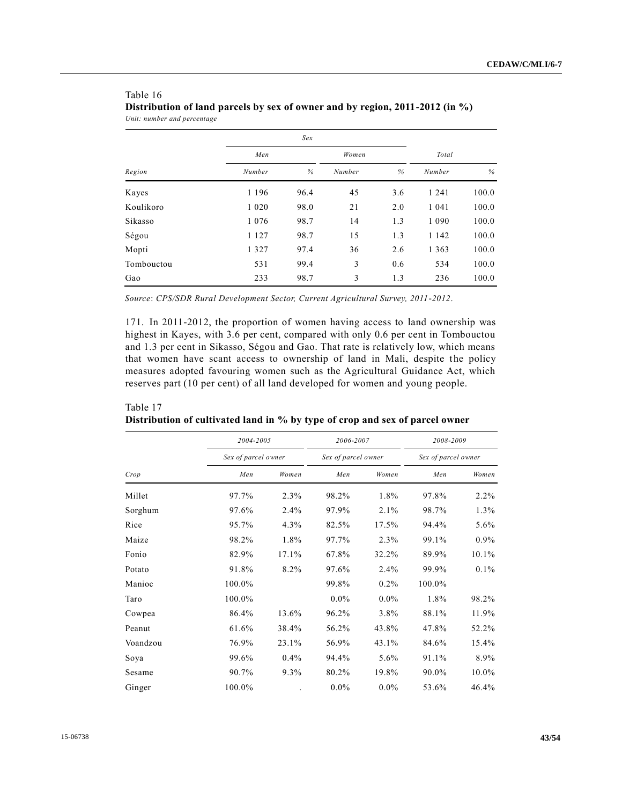|            |         | Sex  |        |      |         |       |
|------------|---------|------|--------|------|---------|-------|
|            | Men     |      | Women  |      | Total   |       |
| Region     | Number  | %    | Number | $\%$ | Number  | %     |
| Kayes      | 1 1 9 6 | 96.4 | 45     | 3.6  | 1 2 4 1 | 100.0 |
| Koulikoro  | 1 0 2 0 | 98.0 | 21     | 2.0  | 1 0 4 1 | 100.0 |
| Sikasso    | 1 0 7 6 | 98.7 | 14     | 1.3  | 1 0 9 0 | 100.0 |
| Ségou      | 1 1 2 7 | 98.7 | 15     | 1.3  | 1 1 4 2 | 100.0 |
| Mopti      | 1 3 2 7 | 97.4 | 36     | 2.6  | 1 3 6 3 | 100.0 |
| Tombouctou | 531     | 99.4 | 3      | 0.6  | 534     | 100.0 |
| Gao        | 233     | 98.7 | 3      | 1.3  | 236     | 100.0 |

# Table 16 **Distribution of land parcels by sex of owner and by region, 2011-2012 (in %)** *Unit: number and percentage*

*Source*: *CPS/SDR Rural Development Sector, Current Agricultural Survey, 2011-2012*.

171. In 2011-2012, the proportion of women having access to land ownership was highest in Kayes, with 3.6 per cent, compared with only 0.6 per cent in Tombouctou and 1.3 per cent in Sikasso, Ségou and Gao. That rate is relatively low, which means that women have scant access to ownership of land in Mali, despite the policy measures adopted favouring women such as the Agricultural Guidance Act, which reserves part (10 per cent) of all land developed for women and young people.

| Crop     | 2004-2005           |       | 2006-2007<br>Sex of parcel owner |         | 2008-2009<br>Sex of parcel owner |         |
|----------|---------------------|-------|----------------------------------|---------|----------------------------------|---------|
|          | Sex of parcel owner |       |                                  |         |                                  |         |
|          | Men                 | Women | Men                              | Women   | Men                              | Women   |
| Millet   | 97.7%               | 2.3%  | 98.2%                            | 1.8%    | 97.8%                            | $2.2\%$ |
| Sorghum  | 97.6%               | 2.4%  | 97.9%                            | 2.1%    | 98.7%                            | $1.3\%$ |
| Rice     | 95.7%               | 4.3%  | 82.5%                            | 17.5%   | 94.4%                            | $5.6\%$ |
| Maize    | 98.2%               | 1.8%  | 97.7%                            | 2.3%    | 99.1%                            | $0.9\%$ |
| Fonio    | 82.9%               | 17.1% | 67.8%                            | 32.2%   | 89.9%                            | 10.1%   |
| Potato   | 91.8%               | 8.2%  | 97.6%                            | 2.4%    | 99.9%                            | $0.1\%$ |
| Manioc   | 100.0%              |       | 99.8%                            | $0.2\%$ | 100.0%                           |         |
| Taro     | 100.0%              |       | $0.0\%$                          | $0.0\%$ | 1.8%                             | 98.2%   |
| Cowpea   | 86.4%               | 13.6% | 96.2%                            | 3.8%    | 88.1%                            | 11.9%   |
| Peanut   | 61.6%               | 38.4% | 56.2%                            | 43.8%   | 47.8%                            | 52.2%   |
| Voandzou | 76.9%               | 23.1% | 56.9%                            | 43.1%   | 84.6%                            | 15.4%   |
| Soya     | 99.6%               | 0.4%  | 94.4%                            | 5.6%    | 91.1%                            | 8.9%    |
| Sesame   | 90.7%               | 9.3%  | 80.2%                            | 19.8%   | 90.0%                            | 10.0%   |
| Ginger   | 100.0%              |       | $0.0\%$                          | $0.0\%$ | 53.6%                            | 46.4%   |

# Table 17 **Distribution of cultivated land in % by type of crop and sex of parcel owner**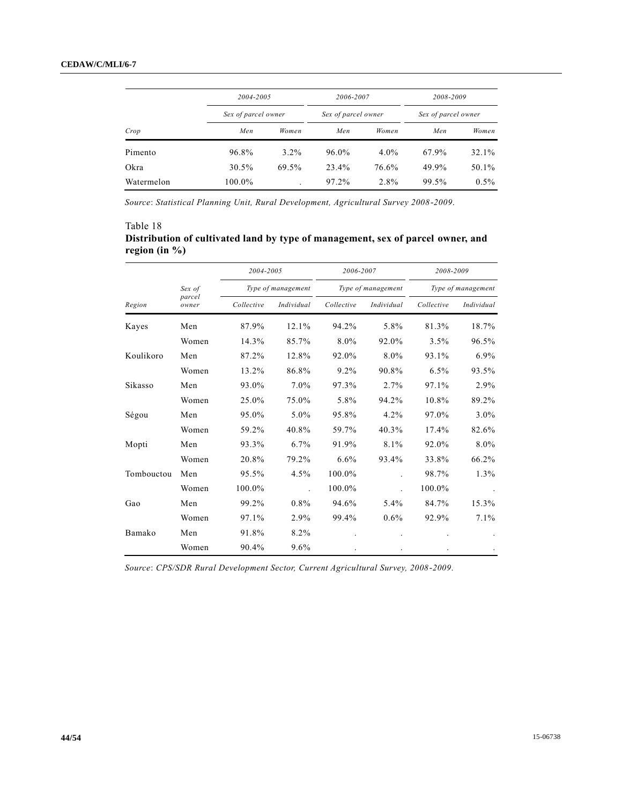|            | 2004-2005           |         | 2006-2007<br>Sex of parcel owner |         | 2008-2009<br>Sex of parcel owner |         |
|------------|---------------------|---------|----------------------------------|---------|----------------------------------|---------|
|            | Sex of parcel owner |         |                                  |         |                                  |         |
| Crop       | Men                 | Women   | Men                              | Women   | Men                              | Women   |
| Pimento    | 96.8%               | $3.2\%$ | 96.0%                            | $4.0\%$ | 67.9%                            | 32.1%   |
| Okra       | 30.5%               | 69.5%   | 23.4%                            | 76.6%   | 49.9%                            | 50.1%   |
| Watermelon | 100.0%              |         | 97.2%                            | $2.8\%$ | 99.5%                            | $0.5\%$ |

*Source*: *Statistical Planning Unit, Rural Development, Agricultural Survey 2008-2009*.

# Table 18 **Distribution of cultivated land by type of management, sex of parcel owner, and region (in %)**

|            | Sex of          | 2004-2005<br>Type of management |            | 2006-2007<br>Type of management |            | 2008-2009<br>Type of management |            |
|------------|-----------------|---------------------------------|------------|---------------------------------|------------|---------------------------------|------------|
|            |                 |                                 |            |                                 |            |                                 |            |
| Region     | parcel<br>owner | Collective                      | Individual | Collective                      | Individual | Collective                      | Individual |
| Kayes      | Men             | 87.9%                           | 12.1%      | 94.2%                           | 5.8%       | 81.3%                           | 18.7%      |
|            | Women           | 14.3%                           | 85.7%      | 8.0%                            | 92.0%      | 3.5%                            | 96.5%      |
| Koulikoro  | Men             | 87.2%                           | 12.8%      | 92.0%                           | 8.0%       | 93.1%                           | 6.9%       |
|            | Women           | 13.2%                           | 86.8%      | $9.2\%$                         | 90.8%      | 6.5%                            | 93.5%      |
| Sikasso    | Men             | 93.0%                           | 7.0%       | 97.3%                           | 2.7%       | 97.1%                           | 2.9%       |
|            | Women           | 25.0%                           | 75.0%      | 5.8%                            | 94.2%      | 10.8%                           | 89.2%      |
| Ségou      | Men             | 95.0%                           | 5.0%       | 95.8%                           | 4.2%       | 97.0%                           | $3.0\%$    |
|            | Women           | 59.2%                           | 40.8%      | 59.7%                           | 40.3%      | 17.4%                           | 82.6%      |
| Mopti      | Men             | 93.3%                           | $6.7\%$    | 91.9%                           | 8.1%       | 92.0%                           | 8.0%       |
|            | Women           | 20.8%                           | 79.2%      | 6.6%                            | 93.4%      | 33.8%                           | 66.2%      |
| Tombouctou | Men             | 95.5%                           | 4.5%       | 100.0%                          |            | 98.7%                           | 1.3%       |
|            | Women           | 100.0%                          |            | 100.0%                          |            | 100.0%                          |            |
| Gao        | Men             | 99.2%                           | $0.8\%$    | 94.6%                           | $5.4\%$    | 84.7%                           | 15.3%      |
|            | Women           | 97.1%                           | 2.9%       | 99.4%                           | $0.6\%$    | 92.9%                           | 7.1%       |
| Bamako     | Men             | 91.8%                           | 8.2%       |                                 |            |                                 |            |
|            | Women           | 90.4%                           | $9.6\%$    |                                 |            |                                 |            |

*Source*: *CPS/SDR Rural Development Sector, Current Agricultural Survey, 2008-2009*.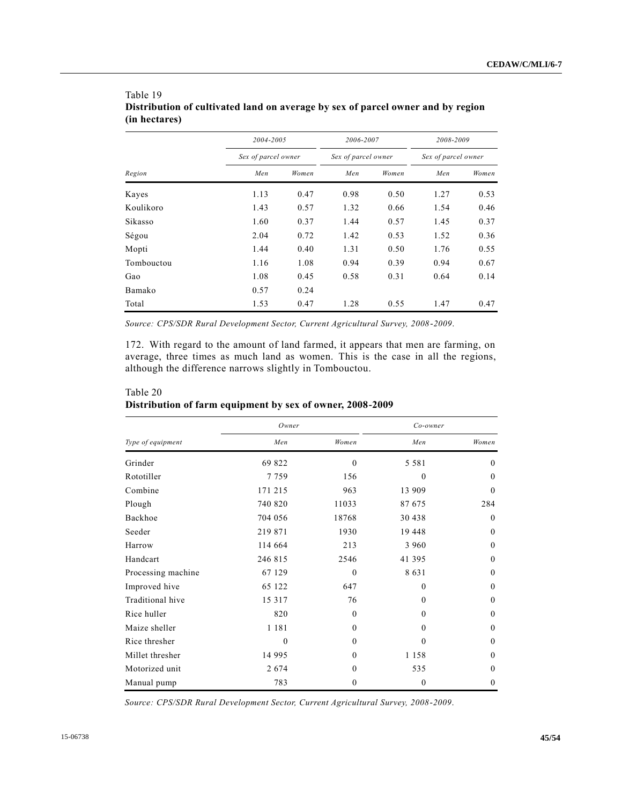| Region     |      | 2004-2005<br>Sex of parcel owner |      | 2006-2007<br>Sex of parcel owner |      | 2008-2009<br>Sex of parcel owner |  |
|------------|------|----------------------------------|------|----------------------------------|------|----------------------------------|--|
|            |      |                                  |      |                                  |      |                                  |  |
|            | Men  | Women                            | Men  | Women                            | Men  | Women                            |  |
| Kayes      | 1.13 | 0.47                             | 0.98 | 0.50                             | 1.27 | 0.53                             |  |
| Koulikoro  | 1.43 | 0.57                             | 1.32 | 0.66                             | 1.54 | 0.46                             |  |
| Sikasso    | 1.60 | 0.37                             | 1.44 | 0.57                             | 1.45 | 0.37                             |  |
| Ségou      | 2.04 | 0.72                             | 1.42 | 0.53                             | 1.52 | 0.36                             |  |
| Mopti      | 1.44 | 0.40                             | 1.31 | 0.50                             | 1.76 | 0.55                             |  |
| Tombouctou | 1.16 | 1.08                             | 0.94 | 0.39                             | 0.94 | 0.67                             |  |
| Gao        | 1.08 | 0.45                             | 0.58 | 0.31                             | 0.64 | 0.14                             |  |
| Bamako     | 0.57 | 0.24                             |      |                                  |      |                                  |  |
| Total      | 1.53 | 0.47                             | 1.28 | 0.55                             | 1.47 | 0.47                             |  |

# Table 19 **Distribution of cultivated land on average by sex of parcel owner and by region (in hectares)**

*Source: CPS/SDR Rural Development Sector, Current Agricultural Survey, 2008-2009*.

172. With regard to the amount of land farmed, it appears that men are farming, on average, three times as much land as women. This is the case in all the regions, although the difference narrows slightly in Tombouctou.

|                    | Owner    |              | $Co-owner$     |              |
|--------------------|----------|--------------|----------------|--------------|
| Type of equipment  | Men      | Women        | Men            | Women        |
| Grinder            | 69 822   | $\Omega$     | 5 5 8 1        | $\theta$     |
| Rototiller         | 7759     | 156          | $\theta$       | $\theta$     |
| Combine            | 171 215  | 963          | 13 909         | $\theta$     |
| Plough             | 740 820  | 11033        | 87 675         | 284          |
| Backhoe            | 704 056  | 18768        | 30 438         | $\theta$     |
| Seeder             | 219 871  | 1930         | 19 448         | $\theta$     |
| Harrow             | 114 664  | 213          | 3 9 6 0        | $\theta$     |
| Handcart           | 246 815  | 2546         | 41 395         | $\theta$     |
| Processing machine | 67 129   | $\Omega$     | 8631           | $\theta$     |
| Improved hive      | 65 122   | 647          | $\theta$       | $\mathbf{0}$ |
| Traditional hive   | 15 3 17  | 76           | $\theta$       | $\mathbf{0}$ |
| Rice huller        | 820      | $\theta$     | $\theta$       | $\theta$     |
| Maize sheller      | 1 1 8 1  | $\Omega$     | $\theta$       | $\theta$     |
| Rice thresher      | $\theta$ | $\Omega$     | $\theta$       | $\theta$     |
| Millet thresher    | 14 9 95  | $\Omega$     | 1 1 5 8        | $\theta$     |
| Motorized unit     | 2674     | $\Omega$     | 535            | $\theta$     |
| Manual pump        | 783      | $\mathbf{0}$ | $\overline{0}$ | $\mathbf{0}$ |

# Table 20 **Distribution of farm equipment by sex of owner, 2008-2009**

*Source: CPS/SDR Rural Development Sector, Current Agricultural Survey, 2008-2009*.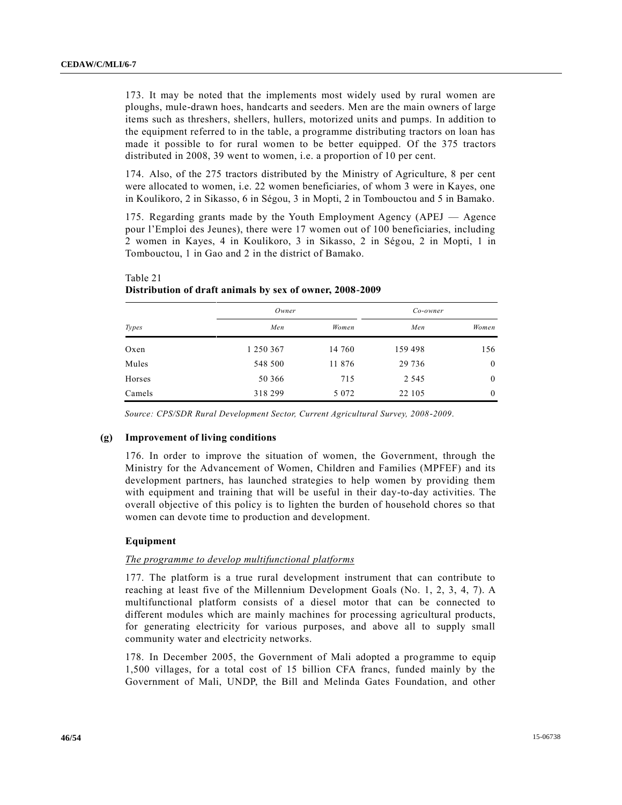173. It may be noted that the implements most widely used by rural women are ploughs, mule-drawn hoes, handcarts and seeders. Men are the main owners of large items such as threshers, shellers, hullers, motorized units and pumps. In addition to the equipment referred to in the table, a programme distributing tractors on loan has made it possible to for rural women to be better equipped. Of the 375 tractors distributed in 2008, 39 went to women, i.e. a proportion of 10 per cent.

174. Also, of the 275 tractors distributed by the Ministry of Agriculture, 8 per cent were allocated to women, i.e. 22 women beneficiaries, of whom 3 were in Kayes, one in Koulikoro, 2 in Sikasso, 6 in Ségou, 3 in Mopti, 2 in Tombouctou and 5 in Bamako.

175. Regarding grants made by the Youth Employment Agency (APEJ — Agence pour l'Emploi des Jeunes), there were 17 women out of 100 beneficiaries, including 2 women in Kayes, 4 in Koulikoro, 3 in Sikasso, 2 in Ségou, 2 in Mopti, 1 in Tombouctou, 1 in Gao and 2 in the district of Bamako.

|              | Owner     |         | Co-owner |              |  |
|--------------|-----------|---------|----------|--------------|--|
| <i>Types</i> | Men       | Women   | Men      | Women        |  |
| Oxen         | 1 250 367 | 14 760  | 159 498  | 156          |  |
| Mules        | 548 500   | 11 876  | 29 736   | $\mathbf{0}$ |  |
| Horses       | 50 366    | 715     | 2 5 4 5  | $\mathbf{0}$ |  |
| Camels       | 318 299   | 5 0 7 2 | 22 105   | $\mathbf{0}$ |  |

# Table 21 **Distribution of draft animals by sex of owner, 2008-2009**

*Source: CPS/SDR Rural Development Sector, Current Agricultural Survey, 2008-2009*.

### **(g) Improvement of living conditions**

176. In order to improve the situation of women, the Government, through the Ministry for the Advancement of Women, Children and Families (MPFEF) and its development partners, has launched strategies to help women by providing them with equipment and training that will be useful in their day-to-day activities. The overall objective of this policy is to lighten the burden of household chores so that women can devote time to production and development.

### **Equipment**

### *The programme to develop multifunctional platforms*

177. The platform is a true rural development instrument that can contribute to reaching at least five of the Millennium Development Goals (No. 1, 2, 3, 4, 7). A multifunctional platform consists of a diesel motor that can be connected to different modules which are mainly machines for processing agricultural products, for generating electricity for various purposes, and above all to supply small community water and electricity networks.

178. In December 2005, the Government of Mali adopted a programme to equip 1,500 villages, for a total cost of 15 billion CFA francs, funded mainly by the Government of Mali, UNDP, the Bill and Melinda Gates Foundation, and other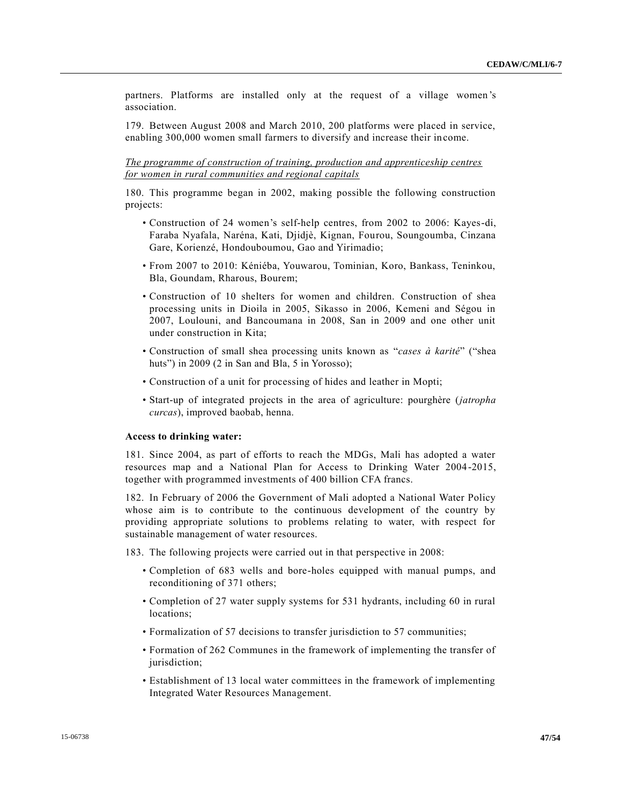partners. Platforms are installed only at the request of a village women 's association.

179. Between August 2008 and March 2010, 200 platforms were placed in service, enabling 300,000 women small farmers to diversify and increase their income.

*The programme of construction of training, production and apprenticeship centres for women in rural communities and regional capitals*

180. This programme began in 2002, making possible the following construction projects:

- Construction of 24 women's self-help centres, from 2002 to 2006: Kayes-di, Faraba Nyafala, Naréna, Kati, Djidjè, Kignan, Fourou, Soungoumba, Cinzana Gare, Korienzé, Hondouboumou, Gao and Yirimadio;
- From 2007 to 2010: Kéniéba, Youwarou, Tominian, Koro, Bankass, Teninkou, Bla, Goundam, Rharous, Bourem;
- Construction of 10 shelters for women and children. Construction of shea processing units in Dioila in 2005, Sikasso in 2006, Kemeni and Ségou in 2007, Loulouni, and Bancoumana in 2008, San in 2009 and one other unit under construction in Kita;
- Construction of small shea processing units known as "*cases à karité*" ("shea huts") in 2009 (2 in San and Bla, 5 in Yorosso);
- Construction of a unit for processing of hides and leather in Mopti;
- Start-up of integrated projects in the area of agriculture: pourghère (*jatropha curcas*), improved baobab, henna.

#### **Access to drinking water:**

181. Since 2004, as part of efforts to reach the MDGs, Mali has adopted a water resources map and a National Plan for Access to Drinking Water 2004-2015, together with programmed investments of 400 billion CFA francs.

182. In February of 2006 the Government of Mali adopted a National Water Policy whose aim is to contribute to the continuous development of the country by providing appropriate solutions to problems relating to water, with respect for sustainable management of water resources.

183. The following projects were carried out in that perspective in 2008:

- Completion of 683 wells and bore-holes equipped with manual pumps, and reconditioning of 371 others;
- Completion of 27 water supply systems for 531 hydrants, including 60 in rural locations;
- Formalization of 57 decisions to transfer jurisdiction to 57 communities;
- Formation of 262 Communes in the framework of implementing the transfer of jurisdiction;
- Establishment of 13 local water committees in the framework of implementing Integrated Water Resources Management.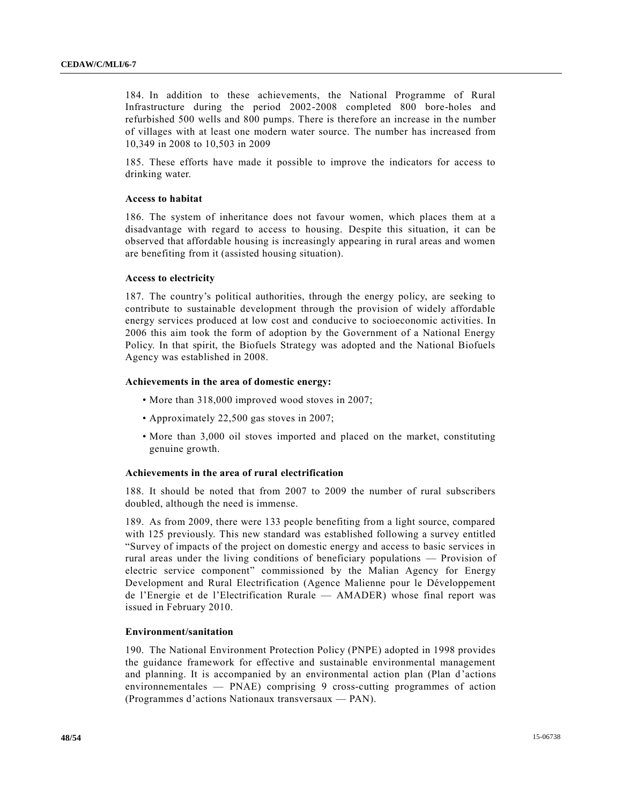184. In addition to these achievements, the National Programme of Rural Infrastructure during the period 2002-2008 completed 800 bore-holes and refurbished 500 wells and 800 pumps. There is therefore an increase in the number of villages with at least one modern water source. The number has increased from 10,349 in 2008 to 10,503 in 2009

185. These efforts have made it possible to improve the indicators for access to drinking water.

### **Access to habitat**

186. The system of inheritance does not favour women, which places them at a disadvantage with regard to access to housing. Despite this situation, it can be observed that affordable housing is increasingly appearing in rural areas and women are benefiting from it (assisted housing situation).

#### **Access to electricity**

187. The country's political authorities, through the energy policy, are seeking to contribute to sustainable development through the provision of widely affordable energy services produced at low cost and conducive to socioeconomic activities. In 2006 this aim took the form of adoption by the Government of a National Energy Policy. In that spirit, the Biofuels Strategy was adopted and the National Biofuels Agency was established in 2008.

### **Achievements in the area of domestic energy:**

- More than 318,000 improved wood stoves in 2007;
- Approximately 22,500 gas stoves in 2007;
- More than 3,000 oil stoves imported and placed on the market, constituting genuine growth.

#### **Achievements in the area of rural electrification**

188. It should be noted that from 2007 to 2009 the number of rural subscribers doubled, although the need is immense.

189. As from 2009, there were 133 people benefiting from a light source, compared with 125 previously. This new standard was established following a survey entitled "Survey of impacts of the project on domestic energy and access to basic services in rural areas under the living conditions of beneficiary populations — Provision of electric service component" commissioned by the Malian Agency for Energy Development and Rural Electrification (Agence Malienne pour le Développement de l'Energie et de l'Electrification Rurale — AMADER) whose final report was issued in February 2010.

### **Environment/sanitation**

190. The National Environment Protection Policy (PNPE) adopted in 1998 provides the guidance framework for effective and sustainable environmental management and planning. It is accompanied by an environmental action plan (Plan d'actions environnementales — PNAE) comprising 9 cross-cutting programmes of action (Programmes d'actions Nationaux transversaux — PAN).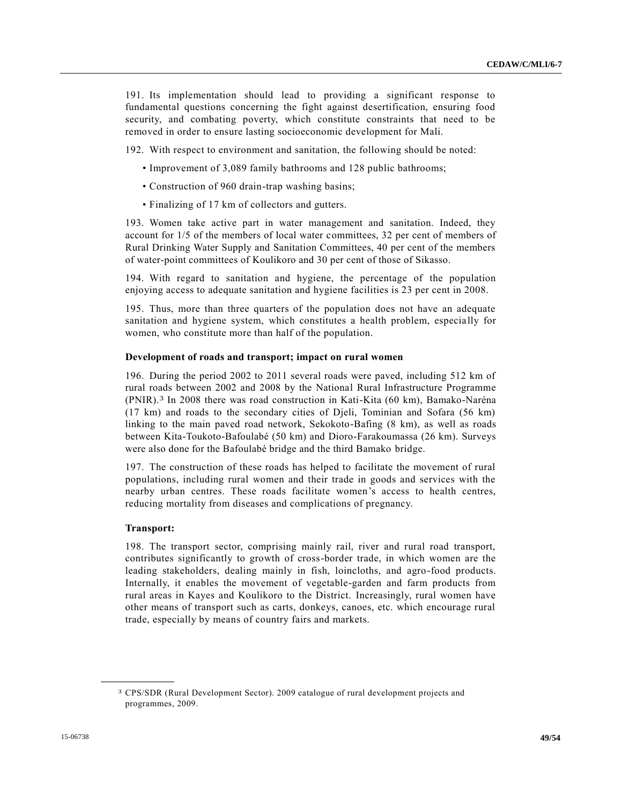191. Its implementation should lead to providing a significant response to fundamental questions concerning the fight against desertification, ensuring food security, and combating poverty, which constitute constraints that need to be removed in order to ensure lasting socioeconomic development for Mali.

192. With respect to environment and sanitation, the following should be noted:

- Improvement of 3,089 family bathrooms and 128 public bathrooms;
- Construction of 960 drain-trap washing basins;
- Finalizing of 17 km of collectors and gutters.

193. Women take active part in water management and sanitation. Indeed, they account for 1/5 of the members of local water committees, 32 per cent of members of Rural Drinking Water Supply and Sanitation Committees, 40 per cent of the members of water-point committees of Koulikoro and 30 per cent of those of Sikasso.

194. With regard to sanitation and hygiene, the percentage of the population enjoying access to adequate sanitation and hygiene facilities is 23 per cent in 2008.

195. Thus, more than three quarters of the population does not have an adequate sanitation and hygiene system, which constitutes a health problem, especially for women, who constitute more than half of the population.

### **Development of roads and transport; impact on rural women**

196. During the period 2002 to 2011 several roads were paved, including 512 km of rural roads between 2002 and 2008 by the National Rural Infrastructure Programme (PNIR). 3 In 2008 there was road construction in Kati-Kita (60 km), Bamako-Naréna (17 km) and roads to the secondary cities of Djeli, Tominian and Sofara (56 km) linking to the main paved road network, Sekokoto-Bafing (8 km), as well as roads between Kita-Toukoto-Bafoulabé (50 km) and Dioro-Farakoumassa (26 km). Surveys were also done for the Bafoulabé bridge and the third Bamako bridge.

197. The construction of these roads has helped to facilitate the movement of rural populations, including rural women and their trade in goods and services with the nearby urban centres. These roads facilitate women's access to health centres, reducing mortality from diseases and complications of pregnancy.

#### **Transport:**

**\_\_\_\_\_\_\_\_\_\_\_\_\_\_\_\_\_\_**

198. The transport sector, comprising mainly rail, river and rural road transport, contributes significantly to growth of cross-border trade, in which women are the leading stakeholders, dealing mainly in fish, loincloths, and agro-food products. Internally, it enables the movement of vegetable-garden and farm products from rural areas in Kayes and Koulikoro to the District. Increasingly, rural women have other means of transport such as carts, donkeys, canoes, etc. which encourage rural trade, especially by means of country fairs and markets.

<sup>3</sup> CPS/SDR (Rural Development Sector). 2009 catalogue of rural development projects and programmes, 2009.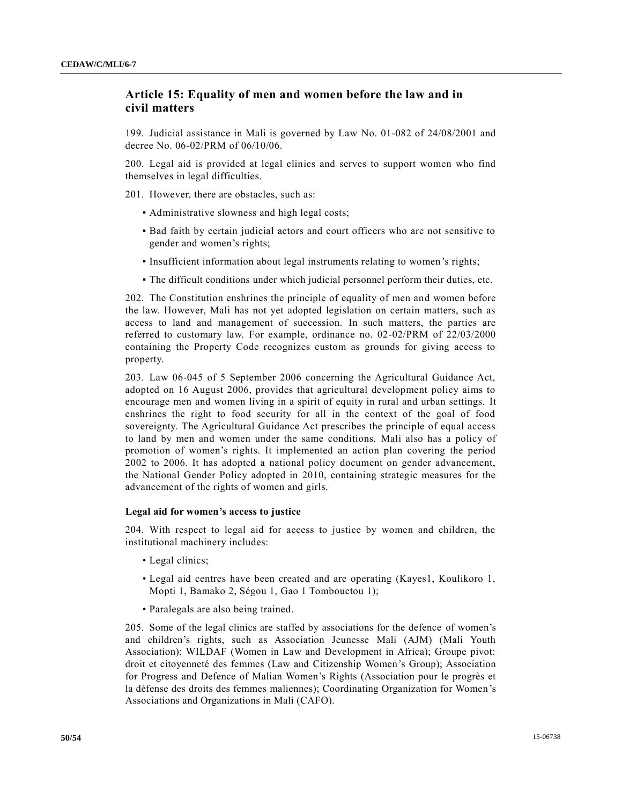# **Article 15: Equality of men and women before the law and in civil matters**

199. Judicial assistance in Mali is governed by Law No. 01-082 of 24/08/2001 and decree No. 06-02/PRM of 06/10/06.

200. Legal aid is provided at legal clinics and serves to support women who find themselves in legal difficulties.

201. However, there are obstacles, such as:

- Administrative slowness and high legal costs;
- Bad faith by certain judicial actors and court officers who are not sensitive to gender and women's rights;
- Insufficient information about legal instruments relating to women's rights;
- The difficult conditions under which judicial personnel perform their duties, etc.

202. The Constitution enshrines the principle of equality of men and women before the law. However, Mali has not yet adopted legislation on certain matters, such as access to land and management of succession. In such matters, the parties are referred to customary law. For example, ordinance no. 02-02/PRM of 22/03/2000 containing the Property Code recognizes custom as grounds for giving access to property.

203. Law 06-045 of 5 September 2006 concerning the Agricultural Guidance Act, adopted on 16 August 2006, provides that agricultural development policy aims to encourage men and women living in a spirit of equity in rural and urban settings. It enshrines the right to food security for all in the context of the goal of food sovereignty. The Agricultural Guidance Act prescribes the principle of equal access to land by men and women under the same conditions. Mali also has a policy of promotion of women's rights. It implemented an action plan covering the period 2002 to 2006. It has adopted a national policy document on gender advancement, the National Gender Policy adopted in 2010, containing strategic measures for the advancement of the rights of women and girls.

### **Legal aid for women's access to justice**

204. With respect to legal aid for access to justice by women and children, the institutional machinery includes:

- Legal clinics:
- Legal aid centres have been created and are operating (Kayes1, Koulikoro 1, Mopti 1, Bamako 2, Ségou 1, Gao 1 Tombouctou 1);
- Paralegals are also being trained.

205. Some of the legal clinics are staffed by associations for the defence of women's and children's rights, such as Association Jeunesse Mali (AJM) (Mali Youth Association); WILDAF (Women in Law and Development in Africa); Groupe pivot: droit et citoyenneté des femmes (Law and Citizenship Women's Group); Association for Progress and Defence of Malian Women's Rights (Association pour le progrès et la défense des droits des femmes maliennes); Coordinating Organization for Women's Associations and Organizations in Mali (CAFO).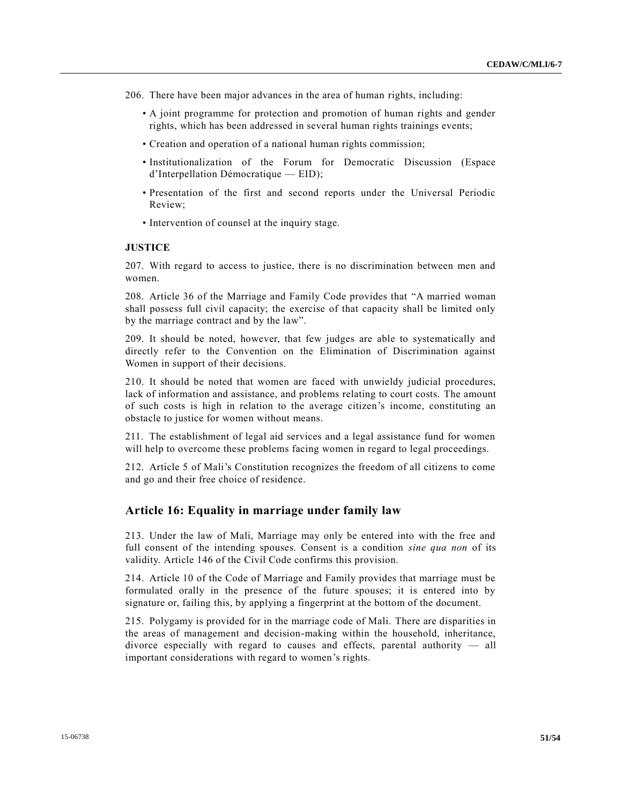- 206. There have been major advances in the area of human rights, including:
	- A joint programme for protection and promotion of human rights and gender rights, which has been addressed in several human rights trainings events;
	- Creation and operation of a national human rights commission;
	- Institutionalization of the Forum for Democratic Discussion (Espace d'Interpellation Démocratique — EID);
	- Presentation of the first and second reports under the Universal Periodic Review;
	- Intervention of counsel at the inquiry stage.

### **JUSTICE**

207. With regard to access to justice, there is no discrimination between men and women.

208. Article 36 of the Marriage and Family Code provides that "A married woman shall possess full civil capacity; the exercise of that capacity shall be limited only by the marriage contract and by the law".

209. It should be noted, however, that few judges are able to systematically and directly refer to the Convention on the Elimination of Discrimination against Women in support of their decisions.

210. It should be noted that women are faced with unwieldy judicial procedures, lack of information and assistance, and problems relating to court costs. The amount of such costs is high in relation to the average citizen's income, constituting an obstacle to justice for women without means.

211. The establishment of legal aid services and a legal assistance fund for women will help to overcome these problems facing women in regard to legal proceedings.

212. Article 5 of Mali's Constitution recognizes the freedom of all citizens to come and go and their free choice of residence.

# **Article 16: Equality in marriage under family law**

213. Under the law of Mali, Marriage may only be entered into with the free and full consent of the intending spouses. Consent is a condition *sine qua non* of its validity. Article 146 of the Civil Code confirms this provision.

214. Article 10 of the Code of Marriage and Family provides that marriage must be formulated orally in the presence of the future spouses; it is entered into by signature or, failing this, by applying a fingerprint at the bottom of the document.

215. Polygamy is provided for in the marriage code of Mali. There are disparities in the areas of management and decision-making within the household, inheritance, divorce especially with regard to causes and effects, parental authority — all important considerations with regard to women's rights.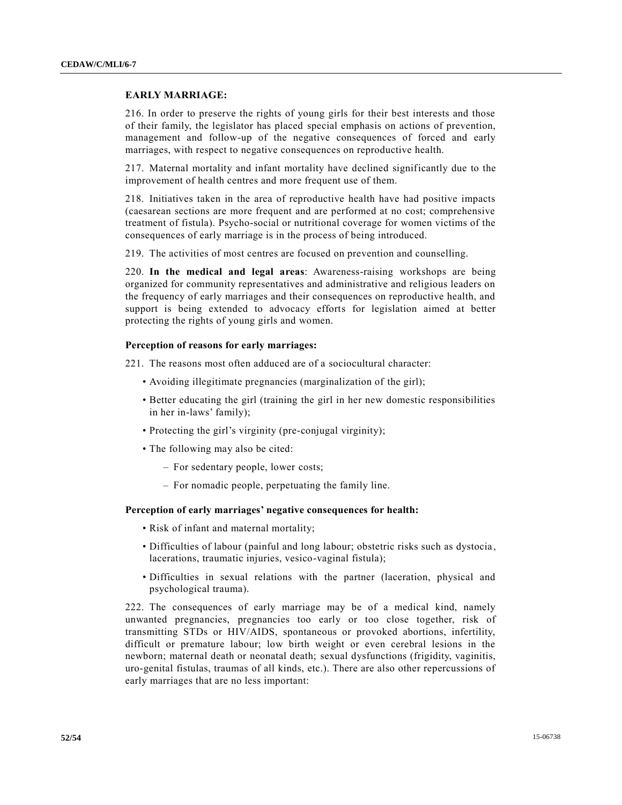### **EARLY MARRIAGE:**

216. In order to preserve the rights of young girls for their best interests and those of their family, the legislator has placed special emphasis on actions of prevention, management and follow-up of the negative consequences of forced and early marriages, with respect to negative consequences on reproductive health.

217. Maternal mortality and infant mortality have declined significantly due to the improvement of health centres and more frequent use of them.

218. Initiatives taken in the area of reproductive health have had positive impacts (caesarean sections are more frequent and are performed at no cost; comprehensive treatment of fistula). Psycho-social or nutritional coverage for women victims of the consequences of early marriage is in the process of being introduced.

219. The activities of most centres are focused on prevention and counselling.

220. **In the medical and legal areas**: Awareness-raising workshops are being organized for community representatives and administrative and religious leaders on the frequency of early marriages and their consequences on reproductive health, and support is being extended to advocacy efforts for legislation aimed at better protecting the rights of young girls and women.

### **Perception of reasons for early marriages:**

221. The reasons most often adduced are of a sociocultural character:

- Avoiding illegitimate pregnancies (marginalization of the girl);
- Better educating the girl (training the girl in her new domestic responsibilities in her in-laws' family);
- Protecting the girl's virginity (pre-conjugal virginity);
- The following may also be cited:
	- For sedentary people, lower costs;
	- For nomadic people, perpetuating the family line.

### **Perception of early marriages' negative consequences for health:**

- Risk of infant and maternal mortality;
- Difficulties of labour (painful and long labour; obstetric risks such as dystocia , lacerations, traumatic injuries, vesico-vaginal fistula);
- Difficulties in sexual relations with the partner (laceration, physical and psychological trauma).

222. The consequences of early marriage may be of a medical kind, namely unwanted pregnancies, pregnancies too early or too close together, risk of transmitting STDs or HIV/AIDS, spontaneous or provoked abortions, infertility, difficult or premature labour; low birth weight or even cerebral lesions in the newborn; maternal death or neonatal death; sexual dysfunctions (frigidity, vaginitis, uro-genital fistulas, traumas of all kinds, etc.). There are also other repercussions of early marriages that are no less important: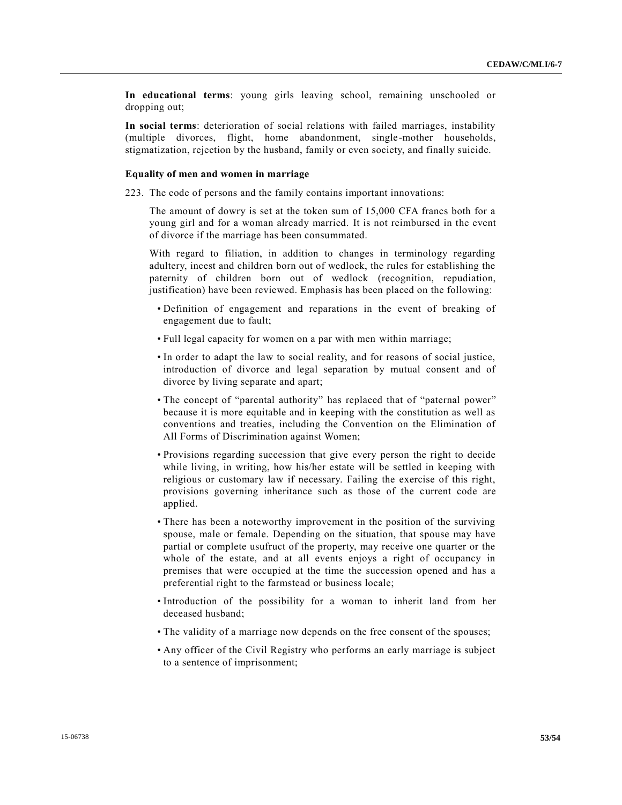**In educational terms**: young girls leaving school, remaining unschooled or dropping out;

**In social terms**: deterioration of social relations with failed marriages, instability (multiple divorces, flight, home abandonment, single-mother households, stigmatization, rejection by the husband, family or even society, and finally suicide.

#### **Equality of men and women in marriage**

223. The code of persons and the family contains important innovations:

The amount of dowry is set at the token sum of 15,000 CFA francs both for a young girl and for a woman already married. It is not reimbursed in the event of divorce if the marriage has been consummated.

With regard to filiation, in addition to changes in terminology regarding adultery, incest and children born out of wedlock, the rules for establishing the paternity of children born out of wedlock (recognition, repudiation, justification) have been reviewed. Emphasis has been placed on the following:

- Definition of engagement and reparations in the event of breaking of engagement due to fault;
- Full legal capacity for women on a par with men within marriage;
- In order to adapt the law to social reality, and for reasons of social justice, introduction of divorce and legal separation by mutual consent and of divorce by living separate and apart;
- The concept of "parental authority" has replaced that of "paternal power" because it is more equitable and in keeping with the constitution as well as conventions and treaties, including the Convention on the Elimination of All Forms of Discrimination against Women;
- Provisions regarding succession that give every person the right to decide while living, in writing, how his/her estate will be settled in keeping with religious or customary law if necessary. Failing the exercise of this right, provisions governing inheritance such as those of the current code are applied.
- There has been a noteworthy improvement in the position of the surviving spouse, male or female. Depending on the situation, that spouse may have partial or complete usufruct of the property, may receive one quarter or the whole of the estate, and at all events enjoys a right of occupancy in premises that were occupied at the time the succession opened and has a preferential right to the farmstead or business locale;
- Introduction of the possibility for a woman to inherit land from her deceased husband;
- The validity of a marriage now depends on the free consent of the spouses;
- Any officer of the Civil Registry who performs an early marriage is subject to a sentence of imprisonment;